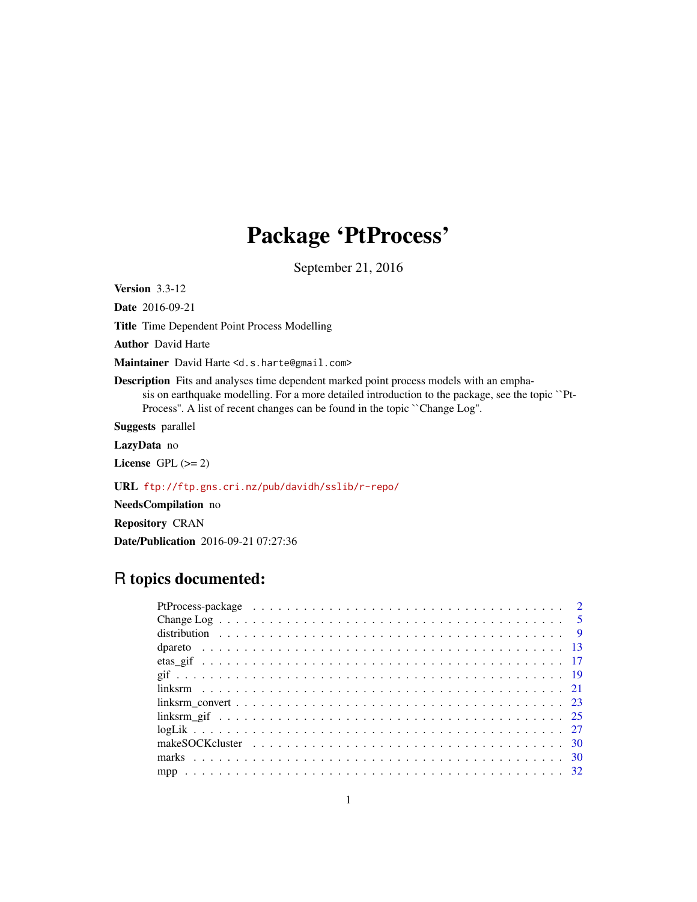# Package 'PtProcess'

September 21, 2016

<span id="page-0-0"></span>Version 3.3-12

Date 2016-09-21

Title Time Dependent Point Process Modelling

Author David Harte

Maintainer David Harte <d.s.harte@gmail.com>

Description Fits and analyses time dependent marked point process models with an emphasis on earthquake modelling. For a more detailed introduction to the package, see the topic ``Pt-Process''. A list of recent changes can be found in the topic ``Change Log''.

Suggests parallel

LazyData no

License GPL  $(>= 2)$ 

URL <ftp://ftp.gns.cri.nz/pub/davidh/sslib/r-repo/>

NeedsCompilation no

Repository CRAN

Date/Publication 2016-09-21 07:27:36

# R topics documented: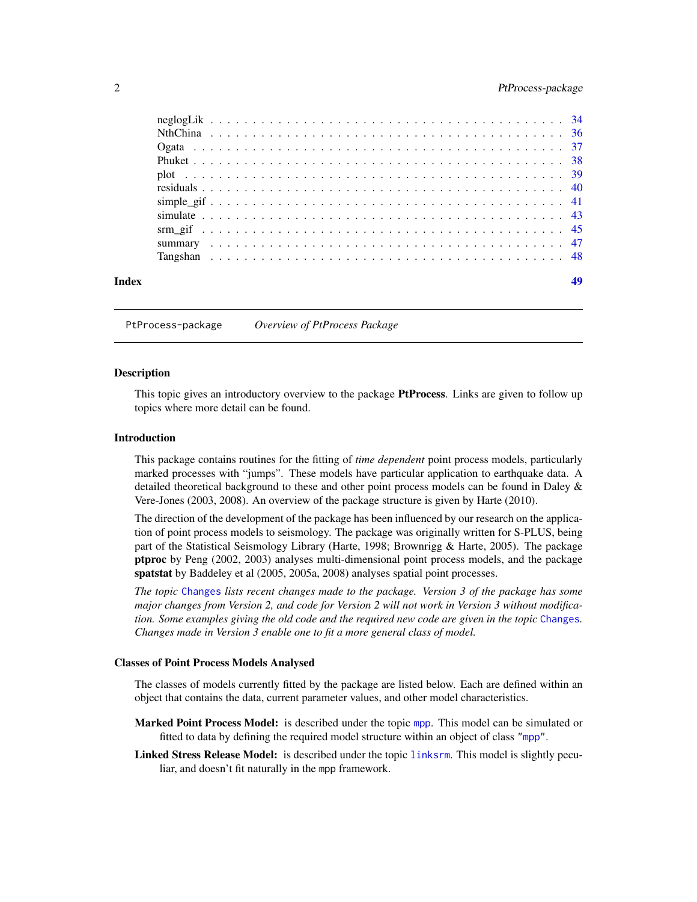# <span id="page-1-0"></span>2 PtProcess-package

| Index |  |  |  |  |  |  |  |  |  |  |  |  |  |  |  |  |  |  |  |  |  |  |
|-------|--|--|--|--|--|--|--|--|--|--|--|--|--|--|--|--|--|--|--|--|--|--|

PtProcess-package *Overview of PtProcess Package*

#### <span id="page-1-1"></span>Description

This topic gives an introductory overview to the package **PtProcess**. Links are given to follow up topics where more detail can be found.

# Introduction

This package contains routines for the fitting of *time dependent* point process models, particularly marked processes with "jumps". These models have particular application to earthquake data. A detailed theoretical background to these and other point process models can be found in Daley  $\&$ Vere-Jones (2003, 2008). An overview of the package structure is given by Harte (2010).

The direction of the development of the package has been influenced by our research on the application of point process models to seismology. The package was originally written for S-PLUS, being part of the Statistical Seismology Library (Harte, 1998; Brownrigg & Harte, 2005). The package ptproc by Peng (2002, 2003) analyses multi-dimensional point process models, and the package spatstat by Baddeley et al (2005, 2005a, 2008) analyses spatial point processes.

*The topic* [Changes](#page-4-1) *lists recent changes made to the package. Version 3 of the package has some major changes from Version 2, and code for Version 2 will not work in Version 3 without modification. Some examples giving the old code and the required new code are given in the topic* [Changes](#page-4-1)*. Changes made in Version 3 enable one to fit a more general class of model.*

#### Classes of Point Process Models Analysed

The classes of models currently fitted by the package are listed below. Each are defined within an object that contains the data, current parameter values, and other model characteristics.

- Marked Point Process Model: is described under the topic [mpp](#page-31-1). This model can be simulated or fitted to data by defining the required model structure within an object of class ["mpp"](#page-31-1).
- Linked Stress Release Model: is described under the topic [linksrm](#page-20-1). This model is slightly peculiar, and doesn't fit naturally in the mpp framework.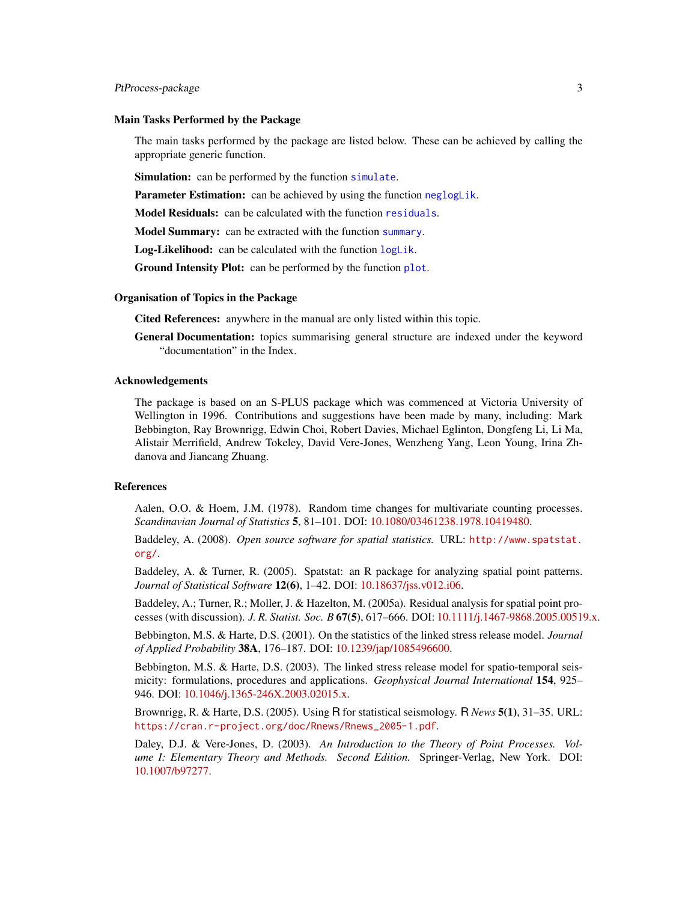#### <span id="page-2-0"></span>PtProcess-package 3

#### Main Tasks Performed by the Package

The main tasks performed by the package are listed below. These can be achieved by calling the appropriate generic function.

Simulation: can be performed by the function [simulate](#page-42-1).

Parameter Estimation: can be achieved by using the function negloglik.

Model Residuals: can be calculated with the function [residuals](#page-39-1).

Model Summary: can be extracted with the function [summary](#page-46-1).

Log-Likelihood: can be calculated with the function [logLik](#page-26-1).

Ground Intensity Plot: can be performed by the function [plot](#page-38-1).

# Organisation of Topics in the Package

Cited References: anywhere in the manual are only listed within this topic.

General Documentation: topics summarising general structure are indexed under the keyword "documentation" in the Index.

#### Acknowledgements

The package is based on an S-PLUS package which was commenced at Victoria University of Wellington in 1996. Contributions and suggestions have been made by many, including: Mark Bebbington, Ray Brownrigg, Edwin Choi, Robert Davies, Michael Eglinton, Dongfeng Li, Li Ma, Alistair Merrifield, Andrew Tokeley, David Vere-Jones, Wenzheng Yang, Leon Young, Irina Zhdanova and Jiancang Zhuang.

#### References

Aalen, O.O. & Hoem, J.M. (1978). Random time changes for multivariate counting processes. *Scandinavian Journal of Statistics* 5, 81–101. DOI: [10.1080/03461238.1978.10419480.](http://dx.doi.org/10.1080/03461238.1978.10419480)

Baddeley, A. (2008). *Open source software for spatial statistics.* URL: [http://www.spatstat.](http://www.spatstat.org/) [org/](http://www.spatstat.org/).

Baddeley, A. & Turner, R. (2005). Spatstat: an R package for analyzing spatial point patterns. *Journal of Statistical Software* 12(6), 1–42. DOI: [10.18637/jss.v012.i06.](http://dx.doi.org/10.18637/jss.v012.i06)

Baddeley, A.; Turner, R.; Moller, J. & Hazelton, M. (2005a). Residual analysis for spatial point processes (with discussion). *J. R. Statist. Soc. B* 67(5), 617–666. DOI: [10.1111/j.1467-9868.2005.00519.x.](http://dx.doi.org/10.1111/j.1467-9868.2005.00519.x)

Bebbington, M.S. & Harte, D.S. (2001). On the statistics of the linked stress release model. *Journal of Applied Probability* 38A, 176–187. DOI: [10.1239/jap/1085496600.](http://dx.doi.org/10.1239/jap/1085496600)

Bebbington, M.S. & Harte, D.S. (2003). The linked stress release model for spatio-temporal seismicity: formulations, procedures and applications. *Geophysical Journal International* 154, 925– 946. DOI: [10.1046/j.1365-246X.2003.02015.x.](http://dx.doi.org/10.1046/j.1365-246X.2003.02015.x)

Brownrigg, R. & Harte, D.S. (2005). Using R for statistical seismology. R *News* 5(1), 31–35. URL: [https://cran.r-project.org/doc/Rnews/Rnews\\_2005-1.pdf](https://cran.r-project.org/doc/Rnews/Rnews_2005-1.pdf).

Daley, D.J. & Vere-Jones, D. (2003). *An Introduction to the Theory of Point Processes. Volume I: Elementary Theory and Methods. Second Edition.* Springer-Verlag, New York. DOI: [10.1007/b97277.](http://dx.doi.org/10.1007/b97277)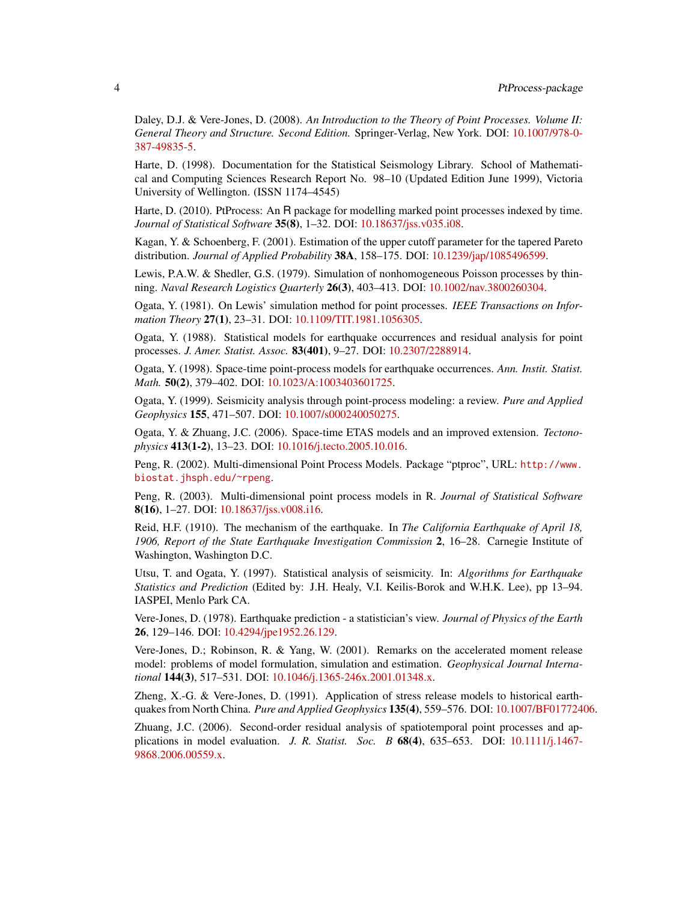Daley, D.J. & Vere-Jones, D. (2008). *An Introduction to the Theory of Point Processes. Volume II: General Theory and Structure. Second Edition.* Springer-Verlag, New York. DOI: [10.1007/978-0-](http://dx.doi.org/10.1007/978-0-387-49835-5) [387-49835-5.](http://dx.doi.org/10.1007/978-0-387-49835-5)

Harte, D. (1998). Documentation for the Statistical Seismology Library. School of Mathematical and Computing Sciences Research Report No. 98–10 (Updated Edition June 1999), Victoria University of Wellington. (ISSN 1174–4545)

Harte, D. (2010). PtProcess: An R package for modelling marked point processes indexed by time. *Journal of Statistical Software* 35(8), 1–32. DOI: [10.18637/jss.v035.i08.](http://dx.doi.org/10.18637/jss.v035.i08)

Kagan, Y. & Schoenberg, F. (2001). Estimation of the upper cutoff parameter for the tapered Pareto distribution. *Journal of Applied Probability* 38A, 158–175. DOI: [10.1239/jap/1085496599.](http://dx.doi.org/10.1239/jap/1085496599)

Lewis, P.A.W. & Shedler, G.S. (1979). Simulation of nonhomogeneous Poisson processes by thinning. *Naval Research Logistics Quarterly* 26(3), 403–413. DOI: [10.1002/nav.3800260304.](http://dx.doi.org/10.1002/nav.3800260304)

Ogata, Y. (1981). On Lewis' simulation method for point processes. *IEEE Transactions on Information Theory* 27(1), 23–31. DOI: [10.1109/TIT.1981.1056305.](http://dx.doi.org/10.1109/TIT.1981.1056305)

Ogata, Y. (1988). Statistical models for earthquake occurrences and residual analysis for point processes. *J. Amer. Statist. Assoc.* 83(401), 9–27. DOI: [10.2307/2288914.](http://dx.doi.org/10.2307/2288914)

Ogata, Y. (1998). Space-time point-process models for earthquake occurrences. *Ann. Instit. Statist. Math.* 50(2), 379–402. DOI: [10.1023/A:1003403601725.](http://dx.doi.org/10.1023/A:1003403601725)

Ogata, Y. (1999). Seismicity analysis through point-process modeling: a review. *Pure and Applied Geophysics* 155, 471–507. DOI: [10.1007/s000240050275.](http://dx.doi.org/10.1007/s000240050275)

Ogata, Y. & Zhuang, J.C. (2006). Space-time ETAS models and an improved extension. *Tectonophysics* 413(1-2), 13–23. DOI: [10.1016/j.tecto.2005.10.016.](http://dx.doi.org/10.1016/j.tecto.2005.10.016)

Peng, R. (2002). Multi-dimensional Point Process Models. Package "ptproc", URL: [http://www.](http://www.biostat.jhsph.edu/~rpeng) [biostat.jhsph.edu/~rpeng](http://www.biostat.jhsph.edu/~rpeng).

Peng, R. (2003). Multi-dimensional point process models in R. *Journal of Statistical Software* 8(16), 1–27. DOI: [10.18637/jss.v008.i16.](http://dx.doi.org/10.18637/jss.v008.i16)

Reid, H.F. (1910). The mechanism of the earthquake. In *The California Earthquake of April 18, 1906, Report of the State Earthquake Investigation Commission* 2, 16–28. Carnegie Institute of Washington, Washington D.C.

Utsu, T. and Ogata, Y. (1997). Statistical analysis of seismicity. In: *Algorithms for Earthquake Statistics and Prediction* (Edited by: J.H. Healy, V.I. Keilis-Borok and W.H.K. Lee), pp 13–94. IASPEI, Menlo Park CA.

Vere-Jones, D. (1978). Earthquake prediction - a statistician's view. *Journal of Physics of the Earth* 26, 129–146. DOI: [10.4294/jpe1952.26.129.](http://dx.doi.org/10.4294/jpe1952.26.129)

Vere-Jones, D.; Robinson, R. & Yang, W. (2001). Remarks on the accelerated moment release model: problems of model formulation, simulation and estimation. *Geophysical Journal International* 144(3), 517–531. DOI: [10.1046/j.1365-246x.2001.01348.x.](http://dx.doi.org/10.1046/j.1365-246x.2001.01348.x)

Zheng, X.-G. & Vere-Jones, D. (1991). Application of stress release models to historical earthquakes from North China. *Pure and Applied Geophysics* 135(4), 559–576. DOI: [10.1007/BF01772406.](http://dx.doi.org/10.1007/BF01772406)

Zhuang, J.C. (2006). Second-order residual analysis of spatiotemporal point processes and applications in model evaluation. *J. R. Statist. Soc. B* 68(4), 635–653. DOI: [10.1111/j.1467-](http://dx.doi.org/10.1111/j.1467-9868.2006.00559.x) [9868.2006.00559.x.](http://dx.doi.org/10.1111/j.1467-9868.2006.00559.x)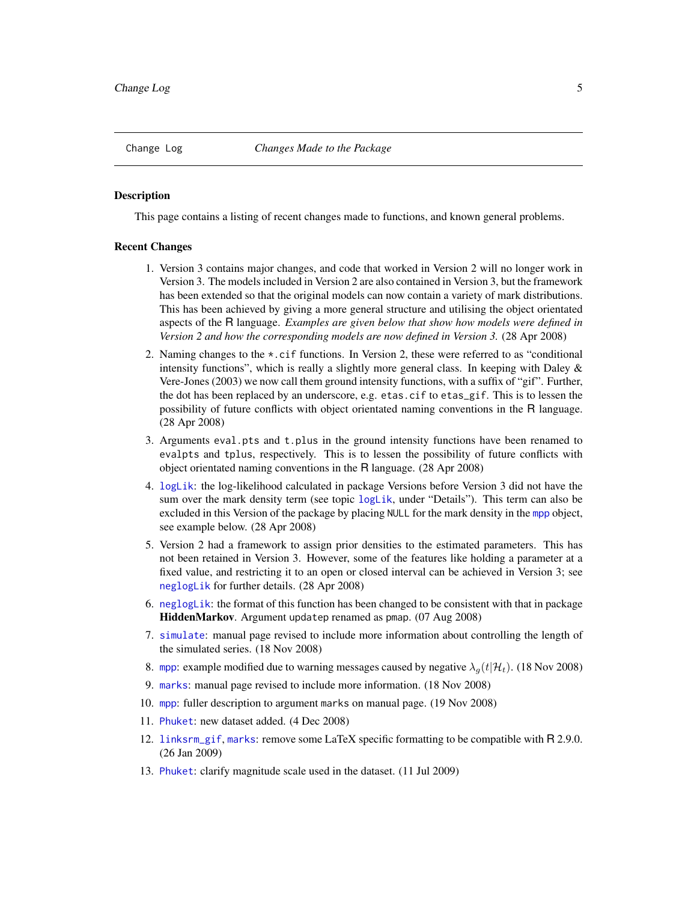<span id="page-4-0"></span>

### <span id="page-4-1"></span>**Description**

This page contains a listing of recent changes made to functions, and known general problems.

#### Recent Changes

- 1. Version 3 contains major changes, and code that worked in Version 2 will no longer work in Version 3. The models included in Version 2 are also contained in Version 3, but the framework has been extended so that the original models can now contain a variety of mark distributions. This has been achieved by giving a more general structure and utilising the object orientated aspects of the R language. *Examples are given below that show how models were defined in Version 2 and how the corresponding models are now defined in Version 3.* (28 Apr 2008)
- 2. Naming changes to the  $\star$ , cif functions. In Version 2, these were referred to as "conditional" intensity functions", which is really a slightly more general class. In keeping with Daley  $\&$ Vere-Jones (2003) we now call them ground intensity functions, with a suffix of "gif". Further, the dot has been replaced by an underscore, e.g. etas.cif to etas\_gif. This is to lessen the possibility of future conflicts with object orientated naming conventions in the R language. (28 Apr 2008)
- 3. Arguments eval.pts and t.plus in the ground intensity functions have been renamed to evalpts and tplus, respectively. This is to lessen the possibility of future conflicts with object orientated naming conventions in the R language. (28 Apr 2008)
- 4. [logLik](#page-26-1): the log-likelihood calculated in package Versions before Version 3 did not have the sum over the mark density term (see topic [logLik](#page-26-1), under "Details"). This term can also be excluded in this Version of the package by placing NULL for the mark density in the [mpp](#page-31-1) object, see example below. (28 Apr 2008)
- 5. Version 2 had a framework to assign prior densities to the estimated parameters. This has not been retained in Version 3. However, some of the features like holding a parameter at a fixed value, and restricting it to an open or closed interval can be achieved in Version 3; see [neglogLik](#page-33-1) for further details. (28 Apr 2008)
- 6. [neglogLik](#page-33-1): the format of this function has been changed to be consistent with that in package HiddenMarkov. Argument updatep renamed as pmap. (07 Aug 2008)
- 7. [simulate](#page-42-1): manual page revised to include more information about controlling the length of the simulated series. (18 Nov 2008)
- 8. [mpp](#page-31-1): example modified due to warning messages caused by negative  $\lambda_a(t|\mathcal{H}_t)$ . (18 Nov 2008)
- 9. [marks](#page-29-1): manual page revised to include more information. (18 Nov 2008)
- 10. [mpp](#page-31-1): fuller description to argument marks on manual page. (19 Nov 2008)
- 11. [Phuket](#page-37-1): new dataset added. (4 Dec 2008)
- 12. [linksrm\\_gif](#page-24-1), [marks](#page-29-1): remove some LaTeX specific formatting to be compatible with R 2.9.0. (26 Jan 2009)
- 13. [Phuket](#page-37-1): clarify magnitude scale used in the dataset. (11 Jul 2009)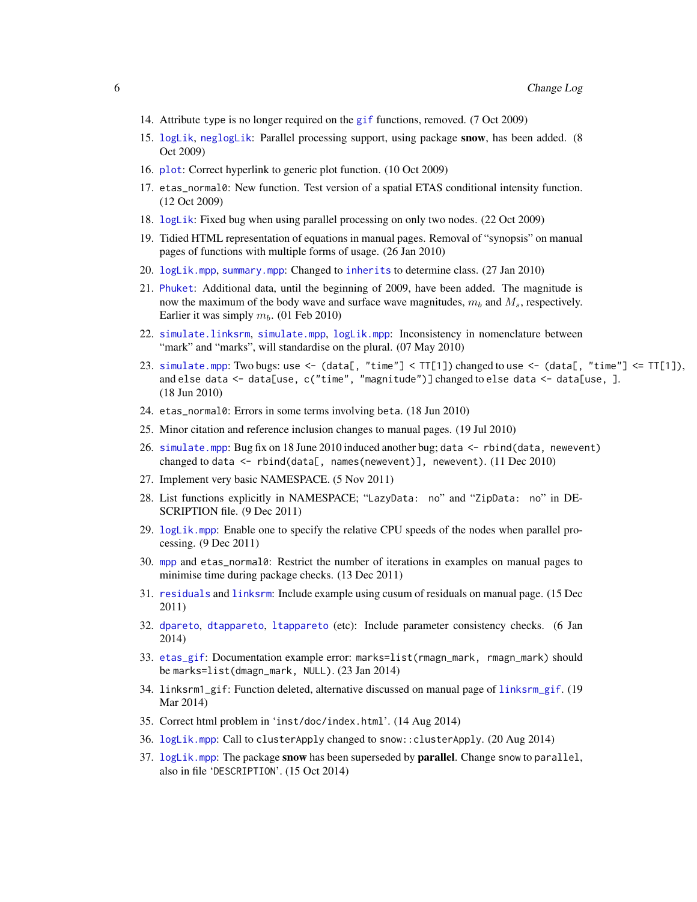- <span id="page-5-0"></span>14. Attribute type is no longer required on the [gif](#page-18-1) functions, removed. (7 Oct 2009)
- 15. [logLik](#page-26-1), [neglogLik](#page-33-1): Parallel processing support, using package snow, has been added. (8) Oct 2009)
- 16. [plot](#page-38-1): Correct hyperlink to generic plot function. (10 Oct 2009)
- 17. etas\_normal0: New function. Test version of a spatial ETAS conditional intensity function. (12 Oct 2009)
- 18. [logLik](#page-26-1): Fixed bug when using parallel processing on only two nodes. (22 Oct 2009)
- 19. Tidied HTML representation of equations in manual pages. Removal of "synopsis" on manual pages of functions with multiple forms of usage. (26 Jan 2010)
- 20. [logLik.mpp](#page-26-2), [summary.mpp](#page-46-2): Changed to [inherits](#page-0-0) to determine class. (27 Jan 2010)
- 21. [Phuket](#page-37-1): Additional data, until the beginning of 2009, have been added. The magnitude is now the maximum of the body wave and surface wave magnitudes,  $m_b$  and  $M_s$ , respectively. Earlier it was simply  $m_b$ . (01 Feb 2010)
- 22. [simulate.linksrm](#page-42-2), [simulate.mpp](#page-42-2), [logLik.mpp](#page-26-2): Inconsistency in nomenclature between "mark" and "marks", will standardise on the plural. (07 May 2010)
- 23. [simulate.mpp](#page-42-2): Two bugs: use <- (data[, "time"] < TT[1]) changed to use <- (data[, "time"] <= TT[1]), and else data <- data[use, c("time", "magnitude")] changed to else data <- data[use, ]. (18 Jun 2010)
- 24. etas\_normal0: Errors in some terms involving beta. (18 Jun 2010)
- 25. Minor citation and reference inclusion changes to manual pages. (19 Jul 2010)
- 26. [simulate.mpp](#page-42-2): Bug fix on 18 June 2010 induced another bug; data <- rbind(data, newevent) changed to data <- rbind(data[, names(newevent)], newevent). (11 Dec 2010)
- 27. Implement very basic NAMESPACE. (5 Nov 2011)
- 28. List functions explicitly in NAMESPACE; "LazyData: no" and "ZipData: no" in DE-SCRIPTION file. (9 Dec 2011)
- 29. [logLik.mpp](#page-26-2): Enable one to specify the relative CPU speeds of the nodes when parallel processing. (9 Dec 2011)
- 30. [mpp](#page-31-1) and etas\_normal0: Restrict the number of iterations in examples on manual pages to minimise time during package checks. (13 Dec 2011)
- 31. [residuals](#page-39-1) and [linksrm](#page-20-1): Include example using cusum of residuals on manual page. (15 Dec 2011)
- 32. [dpareto](#page-12-1), [dtappareto](#page-12-2), [ltappareto](#page-12-2) (etc): Include parameter consistency checks. (6 Jan 2014)
- 33. [etas\\_gif](#page-16-1): Documentation example error: marks=list(rmagn\_mark, rmagn\_mark) should be marks=list(dmagn\_mark, NULL). (23 Jan 2014)
- 34. linksrm1\_gif: Function deleted, alternative discussed on manual page of [linksrm\\_gif](#page-24-1). (19 Mar 2014)
- 35. Correct html problem in 'inst/doc/index.html'. (14 Aug 2014)
- 36. [logLik.mpp](#page-26-2): Call to clusterApply changed to snow::clusterApply. (20 Aug 2014)
- 37. [logLik.mpp](#page-26-2): The package snow has been superseded by parallel. Change snow to parallel, also in file 'DESCRIPTION'. (15 Oct 2014)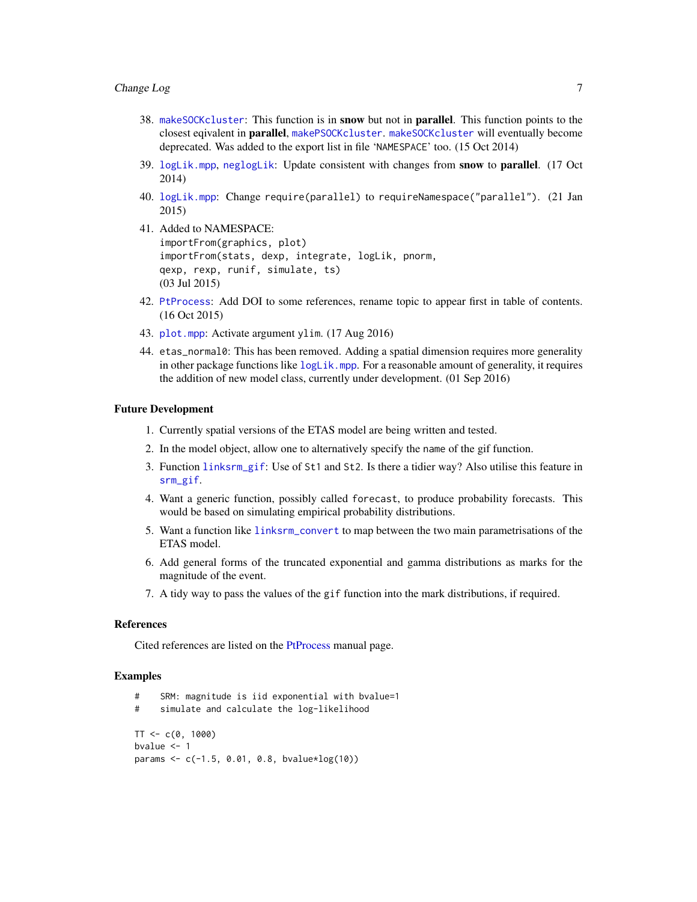- <span id="page-6-0"></span>38. [makeSOCKcluster](#page-29-2): This function is in snow but not in parallel. This function points to the closest eqivalent in parallel, [makePSOCKcluster](#page-0-0). [makeSOCKcluster](#page-29-2) will eventually become deprecated. Was added to the export list in file 'NAMESPACE' too. (15 Oct 2014)
- 39. [logLik.mpp](#page-26-2), [neglogLik](#page-33-1): Update consistent with changes from snow to parallel. (17 Oct 2014)
- 40. [logLik.mpp](#page-26-2): Change require(parallel) to requireNamespace("parallel"). (21 Jan 2015)
- 41. Added to NAMESPACE: importFrom(graphics, plot) importFrom(stats, dexp, integrate, logLik, pnorm, qexp, rexp, runif, simulate, ts) (03 Jul 2015)
- 42. [PtProcess](#page-1-1): Add DOI to some references, rename topic to appear first in table of contents. (16 Oct 2015)
- 43. [plot.mpp](#page-38-2): Activate argument ylim. (17 Aug 2016)
- 44. etas\_normal0: This has been removed. Adding a spatial dimension requires more generality in other package functions like [logLik.mpp](#page-26-2). For a reasonable amount of generality, it requires the addition of new model class, currently under development. (01 Sep 2016)

#### Future Development

- 1. Currently spatial versions of the ETAS model are being written and tested.
- 2. In the model object, allow one to alternatively specify the name of the gif function.
- 3. Function [linksrm\\_gif](#page-24-1): Use of St1 and St2. Is there a tidier way? Also utilise this feature in [srm\\_gif](#page-44-1).
- 4. Want a generic function, possibly called forecast, to produce probability forecasts. This would be based on simulating empirical probability distributions.
- 5. Want a function like [linksrm\\_convert](#page-22-1) to map between the two main parametrisations of the ETAS model.
- 6. Add general forms of the truncated exponential and gamma distributions as marks for the magnitude of the event.
- 7. A tidy way to pass the values of the gif function into the mark distributions, if required.

#### References

Cited references are listed on the [PtProcess](#page-1-1) manual page.

# Examples

```
# SRM: magnitude is iid exponential with bvalue=1
# simulate and calculate the log-likelihood
TT < -c(0, 1000)bvalue <-1params <- c(-1.5, 0.01, 0.8, bvalue*log(10))
```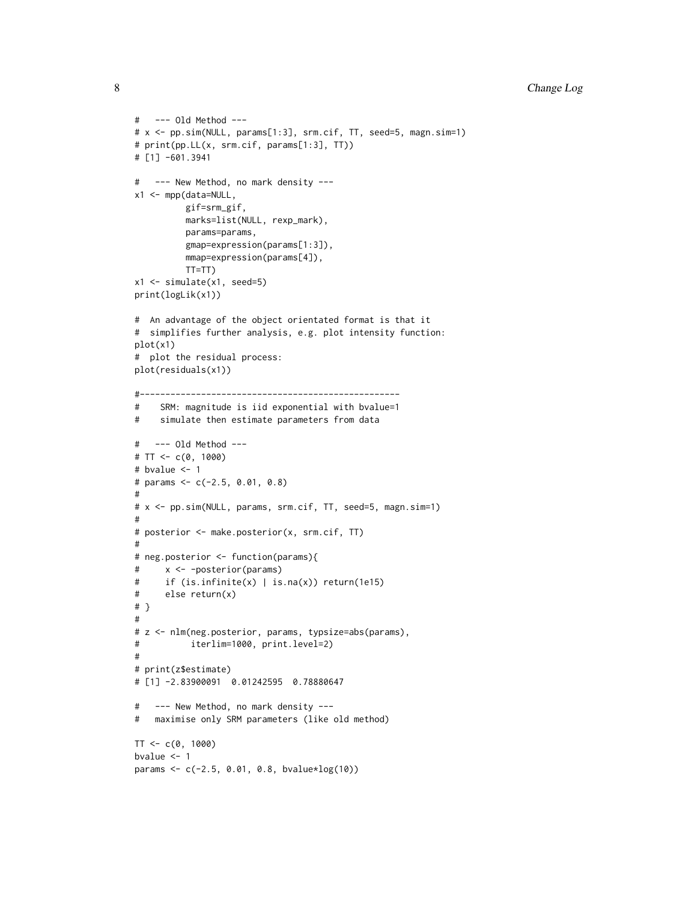```
# --- Old Method ---
# x <- pp.sim(NULL, params[1:3], srm.cif, TT, seed=5, magn.sim=1)
# print(pp.LL(x, srm.cif, params[1:3], TT))
# [1] -601.3941
# --- New Method, no mark density ---
x1 <- mpp(data=NULL,
         gif=srm_gif,
         marks=list(NULL, rexp_mark),
         params=params,
          gmap=expression(params[1:3]),
         mmap=expression(params[4]),
         TT=TT)
x1 \leftarrow simulate(x1, seed=5)
print(logLik(x1))
# An advantage of the object orientated format is that it
# simplifies further analysis, e.g. plot intensity function:
plot(x1)
# plot the residual process:
plot(residuals(x1))
#---------------------------------------------------
# SRM: magnitude is iid exponential with bvalue=1
# simulate then estimate parameters from data
# --- Old Method ---
# TT < -c(0, 1000)# bvalue <- 1
# params <- c(-2.5, 0.01, 0.8)
#
# x <- pp.sim(NULL, params, srm.cif, TT, seed=5, magn.sim=1)
#
# posterior <- make.posterior(x, srm.cif, TT)
#
# neg.posterior <- function(params){
# x <- -posterior(params)
# if (is.infinite(x) | is.na(x)) return(1e15)
# else return(x)
# }
#
# z <- nlm(neg.posterior, params, typsize=abs(params),
# iterlim=1000, print.level=2)
#
# print(z$estimate)
# [1] -2.83900091 0.01242595 0.78880647
# --- New Method, no mark density ---
# maximise only SRM parameters (like old method)
TT < -c(0, 1000)bvalue <-1params <- c(-2.5, 0.01, 0.8, bvalue*log(10))
```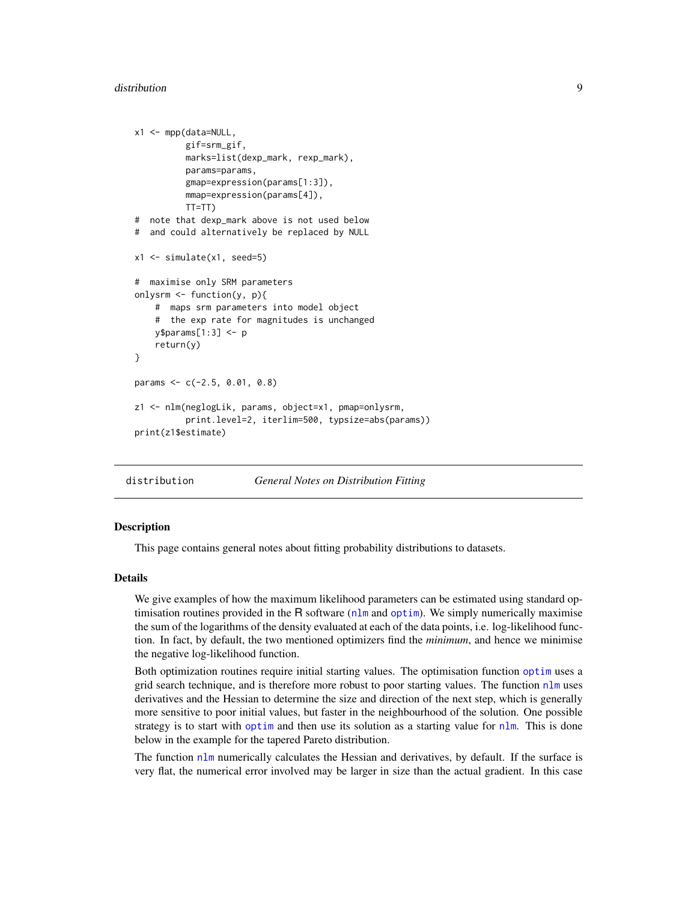#### <span id="page-8-0"></span>distribution 9

```
x1 <- mpp(data=NULL,
          gif=srm_gif,
          marks=list(dexp_mark, rexp_mark),
          params=params,
          gmap=expression(params[1:3]),
          mmap=expression(params[4]),
          TT=TT)
# note that dexp_mark above is not used below
# and could alternatively be replaced by NULL
x1 \leftarrow simulate(x1, seed=5)
# maximise only SRM parameters
onlysrm <- function(y, p){
    # maps srm parameters into model object
    # the exp rate for magnitudes is unchanged
   y$params[1:3] <- p
    return(y)
}
params <-c(-2.5, 0.01, 0.8)z1 <- nlm(neglogLik, params, object=x1, pmap=onlysrm,
          print.level=2, iterlim=500, typsize=abs(params))
print(z1$estimate)
```
<span id="page-8-1"></span>distribution *General Notes on Distribution Fitting*

# Description

This page contains general notes about fitting probability distributions to datasets.

# Details

We give examples of how the maximum likelihood parameters can be estimated using standard optimisation routines provided in the R software ( $n \ln m$  and [optim](#page-0-0)). We simply numerically maximise the sum of the logarithms of the density evaluated at each of the data points, i.e. log-likelihood function. In fact, by default, the two mentioned optimizers find the *minimum*, and hence we minimise the negative log-likelihood function.

Both optimization routines require initial starting values. The optimisation function [optim](#page-0-0) uses a grid search technique, and is therefore more robust to poor starting values. The function [nlm](#page-0-0) uses derivatives and the Hessian to determine the size and direction of the next step, which is generally more sensitive to poor initial values, but faster in the neighbourhood of the solution. One possible strategy is to start with [optim](#page-0-0) and then use its solution as a starting value for [nlm](#page-0-0). This is done below in the example for the tapered Pareto distribution.

The function [nlm](#page-0-0) numerically calculates the Hessian and derivatives, by default. If the surface is very flat, the numerical error involved may be larger in size than the actual gradient. In this case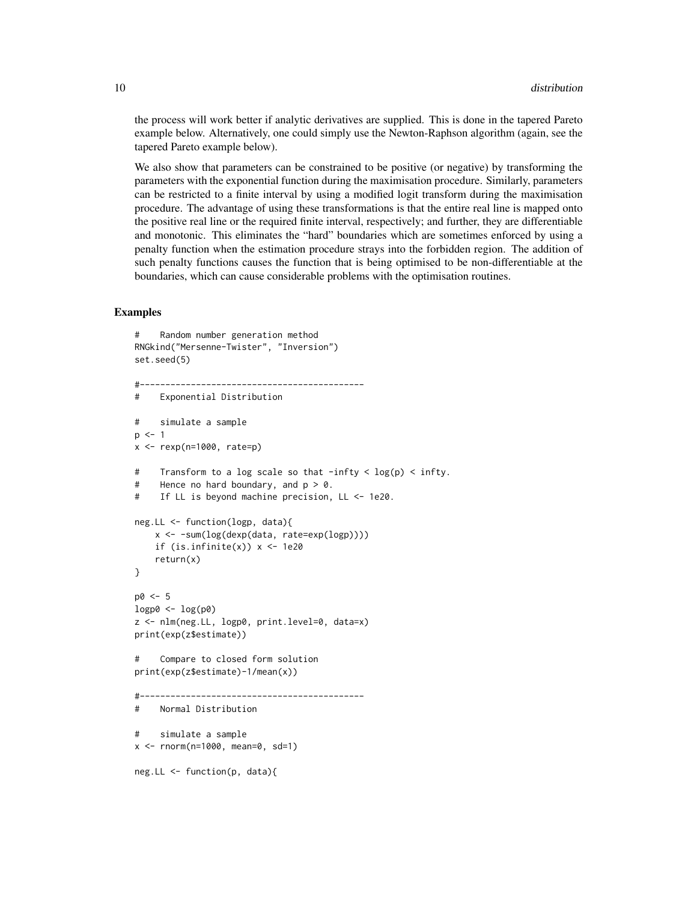the process will work better if analytic derivatives are supplied. This is done in the tapered Pareto example below. Alternatively, one could simply use the Newton-Raphson algorithm (again, see the tapered Pareto example below).

We also show that parameters can be constrained to be positive (or negative) by transforming the parameters with the exponential function during the maximisation procedure. Similarly, parameters can be restricted to a finite interval by using a modified logit transform during the maximisation procedure. The advantage of using these transformations is that the entire real line is mapped onto the positive real line or the required finite interval, respectively; and further, they are differentiable and monotonic. This eliminates the "hard" boundaries which are sometimes enforced by using a penalty function when the estimation procedure strays into the forbidden region. The addition of such penalty functions causes the function that is being optimised to be non-differentiable at the boundaries, which can cause considerable problems with the optimisation routines.

#### Examples

```
# Random number generation method
RNGkind("Mersenne-Twister", "Inversion")
set.seed(5)
#--------------------------------------------
# Exponential Distribution
# simulate a sample
p <- 1
x < - rexp(n=1000, rate=p)
# Transform to a log scale so that -infty < log(p) < infty.
# Hence no hard boundary, and p > 0.
# If LL is beyond machine precision, LL <- 1e20.
neg.LL <- function(logp, data){
   x <- -sum(log(dexp(data, rate=exp(logp))))
    if (is.infinite(x)) x < -1e20return(x)
}
p0 <- 5
logp0 \leftarrow log(p0)z <- nlm(neg.LL, logp0, print.level=0, data=x)
print(exp(z$estimate))
# Compare to closed form solution
print(exp(z$estimate)-1/mean(x))
#--------------------------------------------
# Normal Distribution
     simulate a sample
x <- rnorm(n=1000, mean=0, sd=1)
neg.LL <- function(p, data){
```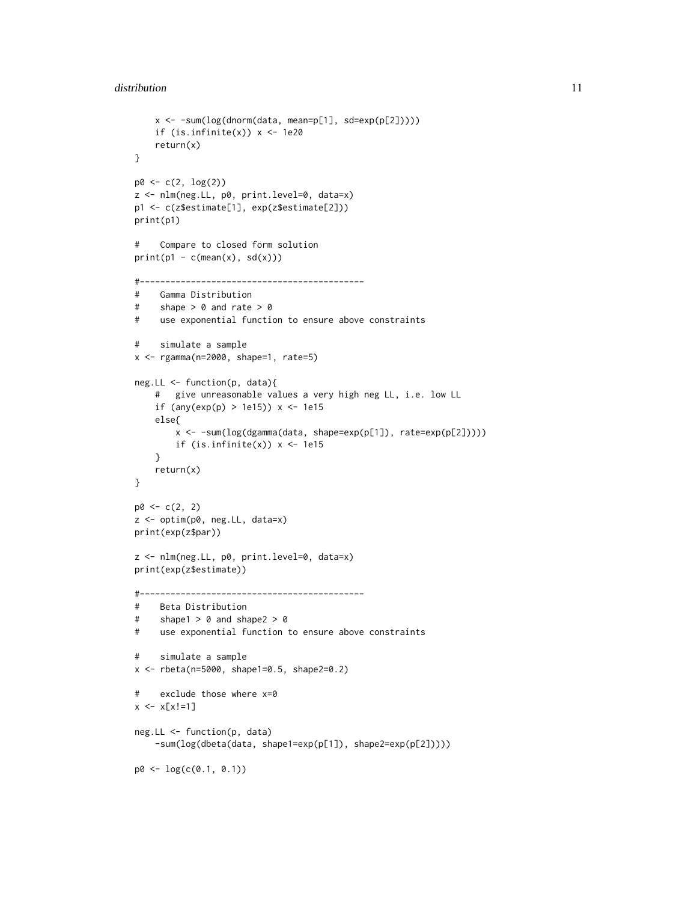```
x \le -sum(log(dnorm(data, mean=p[1], sd=exp(p[2])))if (is.infinite(x)) x < -1e20return(x)
}
p0 <- c(2, log(2))
z <- nlm(neg.LL, p0, print.level=0, data=x)
p1 <- c(z$estimate[1], exp(z$estimate[2]))
print(p1)
# Compare to closed form solution
print(p1 - c(mean(x), sd(x)))#--------------------------------------------
# Gamma Distribution
# shape > 0 and rate > 0# use exponential function to ensure above constraints
# simulate a sample
x \leq - \text{rgamma}(n=2000, \text{shape}=1, \text{rate}=5)neg.LL <- function(p, data){
    # give unreasonable values a very high neg LL, i.e. low LL
    if (any(exp(p) > 1e15)) x <- 1e15
   else{
       x <- -sum(log(dgamma(data, shape=exp(p[1]), rate=exp(p[2]))))
       if (is.infinite(x)) x \leftarrow 1e15}
   return(x)
}
p0 \leq -c(2, 2)z <- optim(p0, neg.LL, data=x)
print(exp(z$par))
z <- nlm(neg.LL, p0, print.level=0, data=x)
print(exp(z$estimate))
#--------------------------------------------
# Beta Distribution
# shape1 > 0 and shape2 > 0# use exponential function to ensure above constraints
# simulate a sample
x <- rbeta(n=5000, shape1=0.5, shape2=0.2)
# exclude those where x=0
x \le -x[x!=1]neg.LL <- function(p, data)
   -sum(log(dbeta(data, shape1=exp(p[1]), shape2=exp(p[2]))))
p0 \leq -\log(c(0.1, 0.1))
```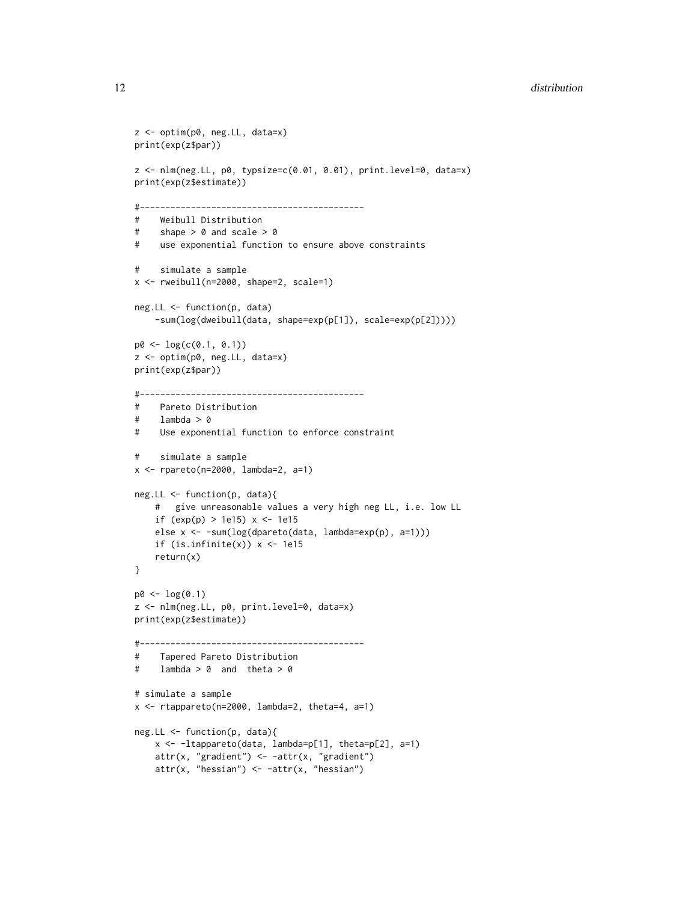#### 12 distribution and the contract of the contract of the contract of the contract of the contract of the contract of the contract of the contract of the contract of the contract of the contract of the contract of the contra

```
z <- optim(p0, neg.LL, data=x)
print(exp(z$par))
z \le nlm(neg.LL, p0, typsize=c(0.01, 0.01), print.level=0, data=x)
print(exp(z$estimate))
#--------------------------------------------
# Weibull Distribution
# shape > 0 and scale > 0
# use exponential function to ensure above constraints
# simulate a sample
x <- rweibull(n=2000, shape=2, scale=1)
neg.LL <- function(p, data)
    -sum(log(dweibull(data, shape=exp(p[1]), scale=exp(p[2]))))
p0 <- log(c(0.1, 0.1))
z <- optim(p0, neg.LL, data=x)
print(exp(z$par))
#--------------------------------------------
# Pareto Distribution
# lambda > 0
# Use exponential function to enforce constraint
# simulate a sample
x <- rpareto(n=2000, lambda=2, a=1)
neg.LL <- function(p, data){
   # give unreasonable values a very high neg LL, i.e. low LL
   if (exp(p) > 1e15) x <- 1e15
    else x <- -sum(log(dpareto(data, lambda=exp(p), a=1)))
    if (is.infinite(x)) x \leftarrow 1e15return(x)
}
p0 <- log(0.1)
z <- nlm(neg.LL, p0, print.level=0, data=x)
print(exp(z$estimate))
#--------------------------------------------
# Tapered Pareto Distribution
# lambda > 0 and theta > 0
# simulate a sample
x <- rtappareto(n=2000, lambda=2, theta=4, a=1)
neg.LL <- function(p, data){
   x <- -ltappareto(data, lambda=p[1], theta=p[2], a=1)
   attr(x, "gradient") <- -attr(x, "gradient")
    attr(x, "hessian") \leftarrow -attr(x, "hessian")
```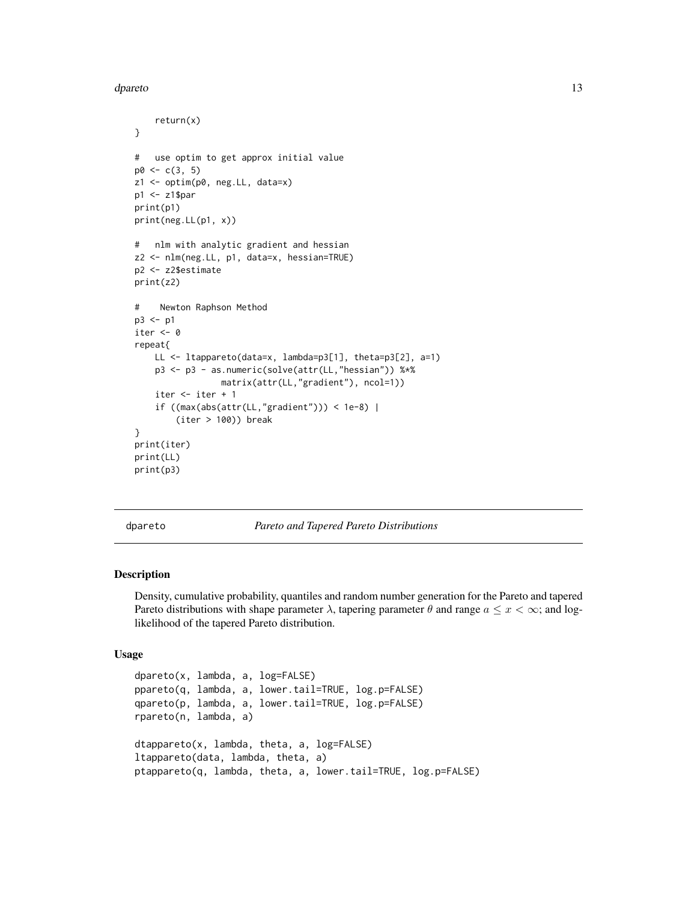#### <span id="page-12-0"></span>dpareto and 13

```
return(x)
}
# use optim to get approx initial value
p0 \leq -c(3, 5)z1 <- optim(p0, neg.LL, data=x)
p1 <- z1$par
print(p1)
print(neg.LL(p1, x))
# nlm with analytic gradient and hessian
z2 <- nlm(neg.LL, p1, data=x, hessian=TRUE)
p2 <- z2$estimate
print(z2)
# Newton Raphson Method
p3 <- p1
iter <- 0
repeat{
   LL <- ltappareto(data=x, lambda=p3[1], theta=p3[2], a=1)
   p3 <- p3 - as.numeric(solve(attr(LL,"hessian")) %*%
                 matrix(attr(LL,"gradient"), ncol=1))
    iter <- iter + 1
    if ((max(abs(attr(LL,"gradient"))) < 1e-8) |
        (iter > 100)) break
}
print(iter)
print(LL)
print(p3)
```
<span id="page-12-1"></span>dpareto *Pareto and Tapered Pareto Distributions*

#### <span id="page-12-2"></span>Description

Density, cumulative probability, quantiles and random number generation for the Pareto and tapered Pareto distributions with shape parameter  $\lambda$ , tapering parameter  $\theta$  and range  $a \leq x < \infty$ ; and loglikelihood of the tapered Pareto distribution.

#### Usage

```
dpareto(x, lambda, a, log=FALSE)
ppareto(q, lambda, a, lower.tail=TRUE, log.p=FALSE)
qpareto(p, lambda, a, lower.tail=TRUE, log.p=FALSE)
rpareto(n, lambda, a)
dtappareto(x, lambda, theta, a, log=FALSE)
ltappareto(data, lambda, theta, a)
ptappareto(q, lambda, theta, a, lower.tail=TRUE, log.p=FALSE)
```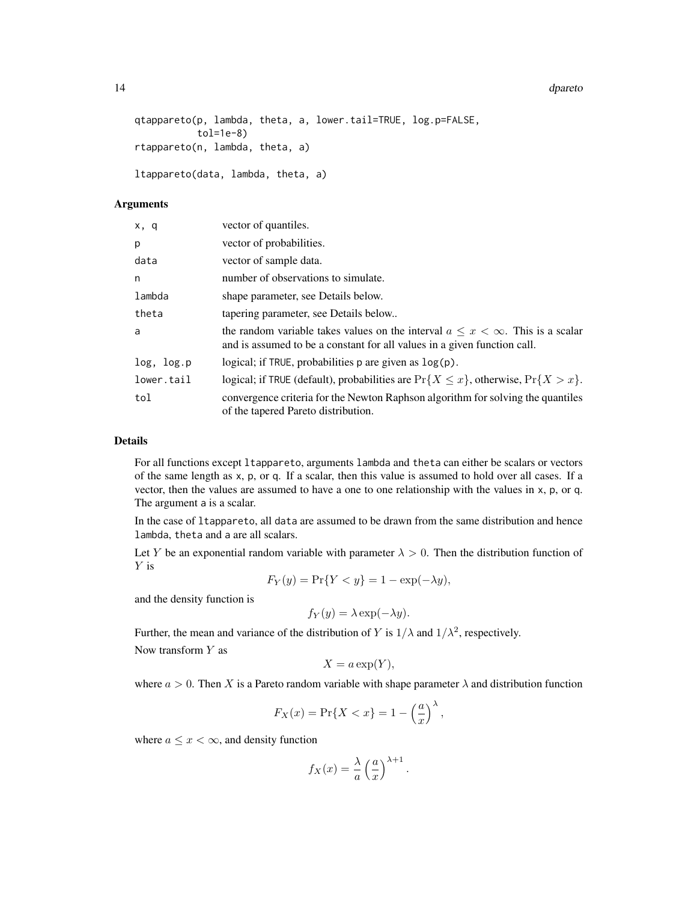#### 14 degree of the contract of the contract of the contract of the contract of the contract of the contract of the contract of the contract of the contract of the contract of the contract of the contract of the contract of t

```
qtappareto(p, lambda, theta, a, lower.tail=TRUE, log.p=FALSE,
           tol=1e-8)
rtappareto(n, lambda, theta, a)
```
ltappareto(data, lambda, theta, a)

#### **Arguments**

| x, q       | vector of quantiles.                                                                                                                                                |
|------------|---------------------------------------------------------------------------------------------------------------------------------------------------------------------|
| р          | vector of probabilities.                                                                                                                                            |
| data       | vector of sample data.                                                                                                                                              |
| n          | number of observations to simulate.                                                                                                                                 |
| lambda     | shape parameter, see Details below.                                                                                                                                 |
| theta      | tapering parameter, see Details below                                                                                                                               |
| a          | the random variable takes values on the interval $a \leq x < \infty$ . This is a scalar<br>and is assumed to be a constant for all values in a given function call. |
| log, log.p | logical; if TRUE, probabilities $p$ are given as $log(p)$ .                                                                                                         |
| lower.tail | logical; if TRUE (default), probabilities are $Pr{X \le x}$ , otherwise, $Pr{X > x}$ .                                                                              |
| tol        | convergence criteria for the Newton Raphson algorithm for solving the quantiles<br>of the tapered Pareto distribution.                                              |

# Details

For all functions except ltappareto, arguments lambda and theta can either be scalars or vectors of the same length as x, p, or q. If a scalar, then this value is assumed to hold over all cases. If a vector, then the values are assumed to have a one to one relationship with the values in x, p, or q. The argument a is a scalar.

In the case of ltappareto, all data are assumed to be drawn from the same distribution and hence lambda, theta and a are all scalars.

Let Y be an exponential random variable with parameter  $\lambda > 0$ . Then the distribution function of Y is

$$
F_Y(y) = \Pr\{Y < y\} = 1 - \exp(-\lambda y),
$$

and the density function is

$$
f_Y(y) = \lambda \exp(-\lambda y).
$$

Further, the mean and variance of the distribution of Y is  $1/\lambda$  and  $1/\lambda^2$ , respectively.

Now transform  $Y$  as

$$
X = a \exp(Y),
$$

where  $a > 0$ . Then X is a Pareto random variable with shape parameter  $\lambda$  and distribution function

$$
F_X(x) = Pr\{X < x\} = 1 - \left(\frac{a}{x}\right)^{\lambda},
$$

where  $a \leq x < \infty$ , and density function

$$
f_X(x) = \frac{\lambda}{a} \left(\frac{a}{x}\right)^{\lambda + 1}
$$

.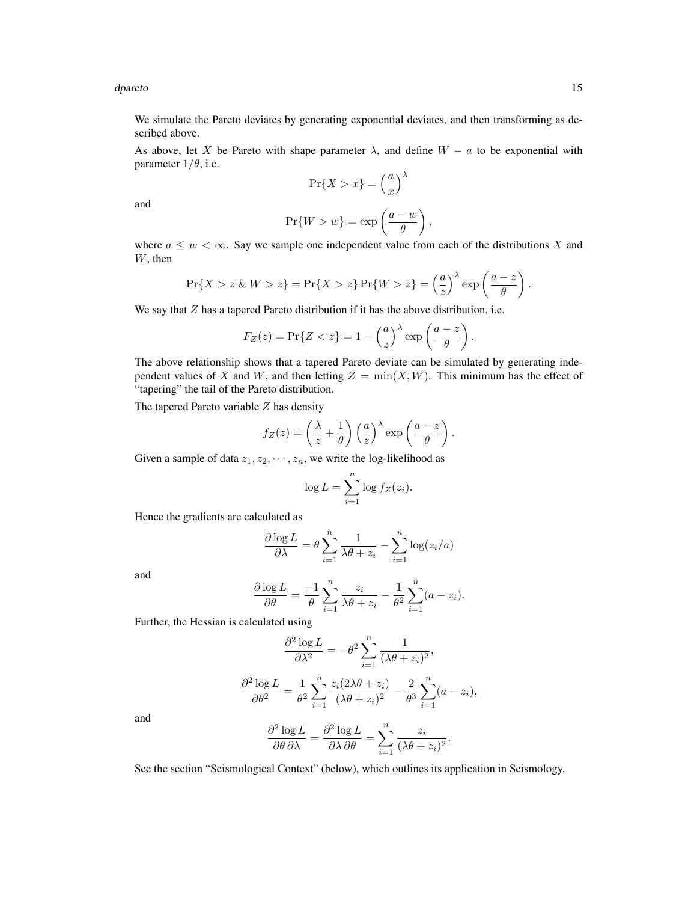dpareto and 15

We simulate the Pareto deviates by generating exponential deviates, and then transforming as described above.

As above, let X be Pareto with shape parameter  $\lambda$ , and define  $W - a$  to be exponential with parameter  $1/\theta$ , i.e.

$$
\Pr\{X > x\} = \left(\frac{a}{x}\right)^{\lambda}
$$

and

$$
\Pr\{W > w\} = \exp\left(\frac{a - w}{\theta}\right),\,
$$

where  $a \leq w < \infty$ . Say we sample one independent value from each of the distributions X and W, then

$$
\Pr\{X > z \& W > z\} = \Pr\{X > z\} \Pr\{W > z\} = \left(\frac{a}{z}\right)^{\lambda} \exp\left(\frac{a-z}{\theta}\right).
$$

We say that  $Z$  has a tapered Pareto distribution if it has the above distribution, i.e.

$$
F_Z(z) = \Pr\{Z < z\} = 1 - \left(\frac{a}{z}\right)^\lambda \exp\left(\frac{a-z}{\theta}\right)
$$

.

The above relationship shows that a tapered Pareto deviate can be simulated by generating independent values of X and W, and then letting  $Z = min(X, W)$ . This minimum has the effect of "tapering" the tail of the Pareto distribution.

The tapered Pareto variable  $Z$  has density

$$
f_Z(z) = \left(\frac{\lambda}{z} + \frac{1}{\theta}\right) \left(\frac{a}{z}\right)^{\lambda} \exp\left(\frac{a-z}{\theta}\right).
$$

Given a sample of data  $z_1, z_2, \dots, z_n$ , we write the log-likelihood as

$$
\log L = \sum_{i=1}^{n} \log f_Z(z_i).
$$

Hence the gradients are calculated as

$$
\frac{\partial \log L}{\partial \lambda} = \theta \sum_{i=1}^{n} \frac{1}{\lambda \theta + z_i} - \sum_{i=1}^{n} \log(z_i/a)
$$

and

$$
\frac{\partial \log L}{\partial \theta} = \frac{-1}{\theta} \sum_{i=1}^{n} \frac{z_i}{\lambda \theta + z_i} - \frac{1}{\theta^2} \sum_{i=1}^{n} (a - z_i).
$$

Further, the Hessian is calculated using

$$
\frac{\partial^2 \log L}{\partial \lambda^2} = -\theta^2 \sum_{i=1}^n \frac{1}{(\lambda \theta + z_i)^2},
$$

$$
\frac{\partial^2 \log L}{\partial \theta^2} = \frac{1}{\theta^2} \sum_{i=1}^n \frac{z_i (2\lambda \theta + z_i)}{(\lambda \theta + z_i)^2} - \frac{2}{\theta^3} \sum_{i=1}^n (a - z_i),
$$

and

$$
\frac{\partial^2 \log L}{\partial \theta \, \partial \lambda} = \frac{\partial^2 \log L}{\partial \lambda \, \partial \theta} = \sum_{i=1}^n \frac{z_i}{(\lambda \theta + z_i)^2}.
$$

See the section "Seismological Context" (below), which outlines its application in Seismology.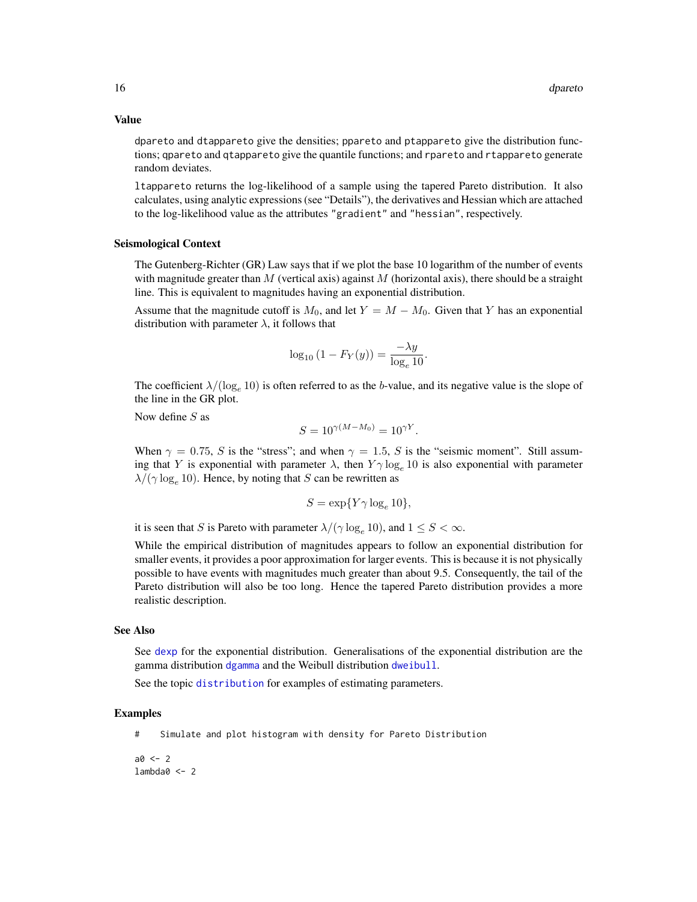<span id="page-15-0"></span>Value

dpareto and dtappareto give the densities; ppareto and ptappareto give the distribution functions; qpareto and qtappareto give the quantile functions; and rpareto and rtappareto generate random deviates.

ltappareto returns the log-likelihood of a sample using the tapered Pareto distribution. It also calculates, using analytic expressions (see "Details"), the derivatives and Hessian which are attached to the log-likelihood value as the attributes "gradient" and "hessian", respectively.

#### Seismological Context

The Gutenberg-Richter (GR) Law says that if we plot the base 10 logarithm of the number of events with magnitude greater than  $M$  (vertical axis) against  $M$  (horizontal axis), there should be a straight line. This is equivalent to magnitudes having an exponential distribution.

Assume that the magnitude cutoff is  $M_0$ , and let  $Y = M - M_0$ . Given that Y has an exponential distribution with parameter  $\lambda$ , it follows that

$$
\log_{10} (1 - F_Y(y)) = \frac{-\lambda y}{\log_e 10}.
$$

The coefficient  $\lambda/(\log_e 10)$  is often referred to as the b-value, and its negative value is the slope of the line in the GR plot.

Now define  $S$  as

$$
S = 10^{\gamma(M - M_0)} = 10^{\gamma Y}.
$$

When  $\gamma = 0.75$ , S is the "stress"; and when  $\gamma = 1.5$ , S is the "seismic moment". Still assuming that Y is exponential with parameter  $\lambda$ , then  $Y \gamma \log_e 10$  is also exponential with parameter  $\lambda/(\gamma \log_e 10)$ . Hence, by noting that S can be rewritten as

$$
S = \exp\{Y\gamma \log_e 10\},\
$$

it is seen that S is Pareto with parameter  $\lambda/(\gamma \log_e 10)$ , and  $1 \leq S < \infty$ .

While the empirical distribution of magnitudes appears to follow an exponential distribution for smaller events, it provides a poor approximation for larger events. This is because it is not physically possible to have events with magnitudes much greater than about 9.5. Consequently, the tail of the Pareto distribution will also be too long. Hence the tapered Pareto distribution provides a more realistic description.

# See Also

See [dexp](#page-0-0) for the exponential distribution. Generalisations of the exponential distribution are the gamma distribution [dgamma](#page-0-0) and the Weibull distribution [dweibull](#page-0-0).

See the topic [distribution](#page-8-1) for examples of estimating parameters.

#### Examples

# Simulate and plot histogram with density for Pareto Distribution

 $a0 < -2$ lambda0 <- 2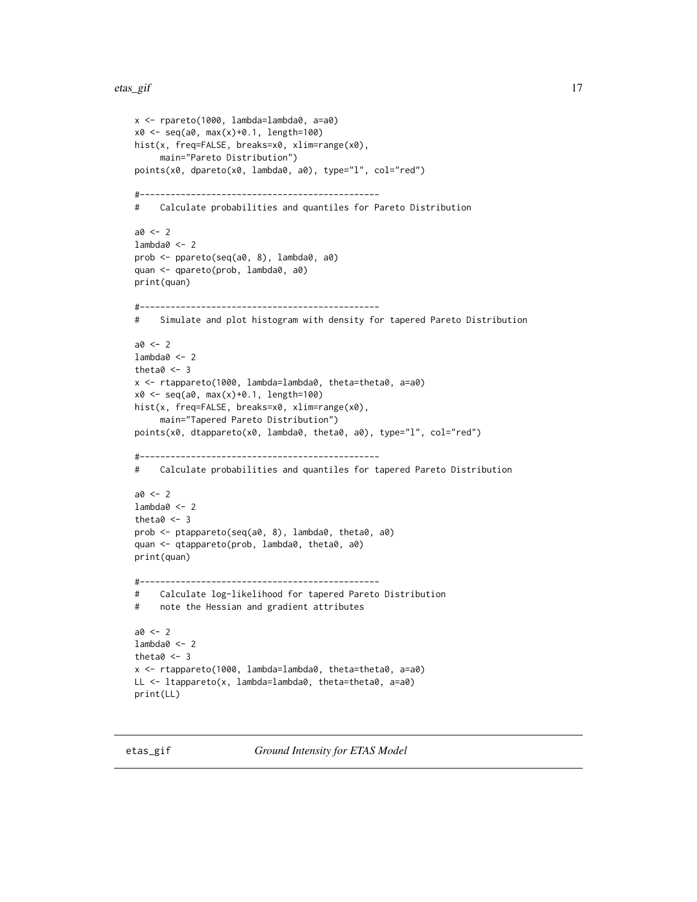#### <span id="page-16-0"></span>etas\_gif 17

```
x <- rpareto(1000, lambda=lambda0, a=a0)
x0 <- seq(a0, max(x)+0.1, length=100)
hist(x, freq=FALSE, breaks=x0, xlim=range(x0),
     main="Pareto Distribution")
points(x0, dpareto(x0, lambda0, a0), type="l", col="red")
#-----------------------------------------------
# Calculate probabilities and quantiles for Pareto Distribution
a0 < -2lambda0 <- 2
prob <- ppareto(seq(a0, 8), lambda0, a0)
quan <- qpareto(prob, lambda0, a0)
print(quan)
#-----------------------------------------------
# Simulate and plot histogram with density for tapered Pareto Distribution
a0 < -2lambda0 <- 2
theta0 < -3x <- rtappareto(1000, lambda=lambda0, theta=theta0, a=a0)
x0 <- seq(a0, max(x)+0.1, length=100)
hist(x, freq=FALSE, breaks=x0, xlim=range(x0),
     main="Tapered Pareto Distribution")
points(x0, dtappareto(x0, lambda0, theta0, a0), type="l", col="red")
#-----------------------------------------------
# Calculate probabilities and quantiles for tapered Pareto Distribution
a0 < -2lambda0 <- 2
theta0 < -3prob <- ptappareto(seq(a0, 8), lambda0, theta0, a0)
quan <- qtappareto(prob, lambda0, theta0, a0)
print(quan)
#-----------------------------------------------
# Calculate log-likelihood for tapered Pareto Distribution
# note the Hessian and gradient attributes
a0 < -2lambda0 <- 2
theta0 < -3x <- rtappareto(1000, lambda=lambda0, theta=theta0, a=a0)
LL <- ltappareto(x, lambda=lambda0, theta=theta0, a=a0)
print(LL)
```
<span id="page-16-1"></span>etas\_gif *Ground Intensity for ETAS Model*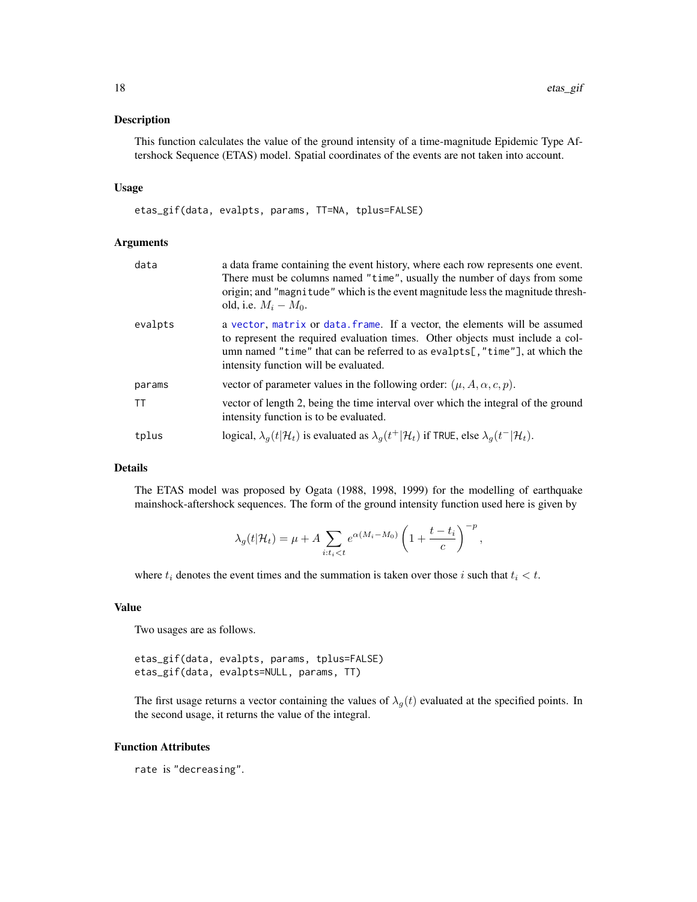#### <span id="page-17-0"></span>Description

This function calculates the value of the ground intensity of a time-magnitude Epidemic Type Aftershock Sequence (ETAS) model. Spatial coordinates of the events are not taken into account.

# Usage

etas\_gif(data, evalpts, params, TT=NA, tplus=FALSE)

#### Arguments

| data    | a data frame containing the event history, where each row represents one event.<br>There must be columns named "time", usually the number of days from some<br>origin; and "magnitude" which is the event magnitude less the magnitude thresh-<br>old, i.e. $M_i - M_0$ .           |
|---------|-------------------------------------------------------------------------------------------------------------------------------------------------------------------------------------------------------------------------------------------------------------------------------------|
| evalpts | a vector, matrix or data. frame. If a vector, the elements will be assumed<br>to represent the required evaluation times. Other objects must include a col-<br>umn named "time" that can be referred to as evalpts[, "time"], at which the<br>intensity function will be evaluated. |
| params  | vector of parameter values in the following order: $(\mu, A, \alpha, c, p)$ .                                                                                                                                                                                                       |
| ТT      | vector of length 2, being the time interval over which the integral of the ground<br>intensity function is to be evaluated.                                                                                                                                                         |
| tplus   | logical, $\lambda_q(t \mathcal{H}_t)$ is evaluated as $\lambda_q(t^+ \mathcal{H}_t)$ if TRUE, else $\lambda_q(t^- \mathcal{H}_t)$ .                                                                                                                                                 |

#### Details

The ETAS model was proposed by Ogata (1988, 1998, 1999) for the modelling of earthquake mainshock-aftershock sequences. The form of the ground intensity function used here is given by

$$
\lambda_g(t|\mathcal{H}_t) = \mu + A \sum_{i:t_i < t} e^{\alpha(M_i - M_0)} \left( 1 + \frac{t - t_i}{c} \right)^{-p},
$$

where  $t_i$  denotes the event times and the summation is taken over those i such that  $t_i < t$ .

# Value

Two usages are as follows.

etas\_gif(data, evalpts, params, tplus=FALSE) etas\_gif(data, evalpts=NULL, params, TT)

The first usage returns a vector containing the values of  $\lambda_q(t)$  evaluated at the specified points. In the second usage, it returns the value of the integral.

# Function Attributes

rate is "decreasing".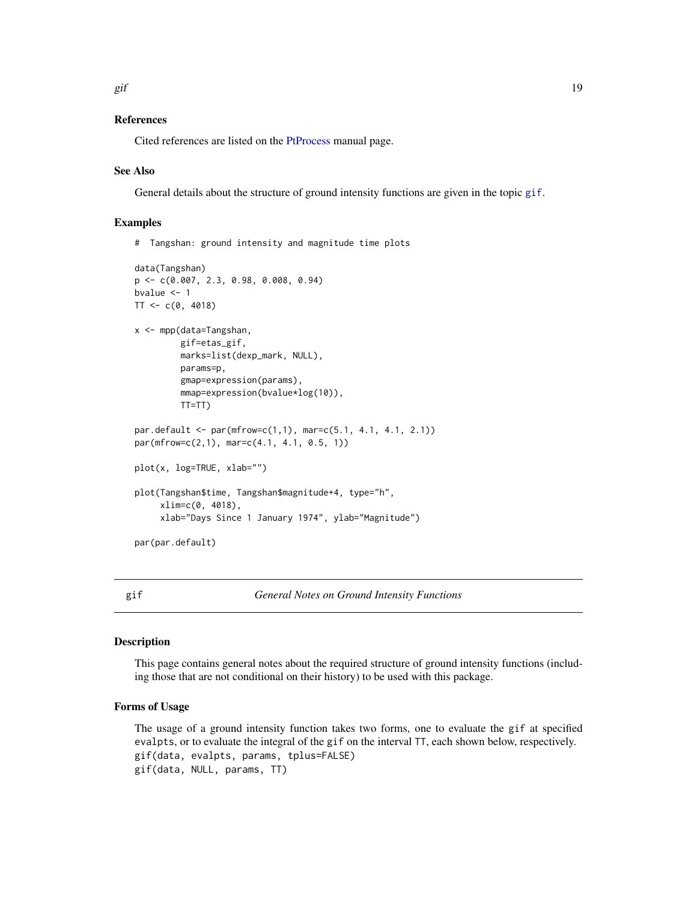# <span id="page-18-0"></span>References

Cited references are listed on the [PtProcess](#page-1-1) manual page.

# See Also

General details about the structure of ground intensity functions are given in the topic [gif](#page-18-1).

# Examples

```
# Tangshan: ground intensity and magnitude time plots
```

```
data(Tangshan)
p <- c(0.007, 2.3, 0.98, 0.008, 0.94)
bvalue <-1TT < -c(0, 4018)x <- mpp(data=Tangshan,
         gif=etas_gif,
         marks=list(dexp_mark, NULL),
         params=p,
         gmap=expression(params),
         mmap=expression(bvalue*log(10)),
         TT=TT)
par.default <- par(mfrow=c(1,1), mar=c(5.1, 4.1, 4.1, 2.1))
par(mfrow=c(2,1), mar=c(4.1, 4.1, 0.5, 1))
plot(x, log=TRUE, xlab="")
plot(Tangshan$time, Tangshan$magnitude+4, type="h",
     xlim=c(0, 4018),
     xlab="Days Since 1 January 1974", ylab="Magnitude")
par(par.default)
```
#### Description

This page contains general notes about the required structure of ground intensity functions (including those that are not conditional on their history) to be used with this package.

# Forms of Usage

The usage of a ground intensity function takes two forms, one to evaluate the gif at specified evalpts, or to evaluate the integral of the gif on the interval TT, each shown below, respectively. gif(data, evalpts, params, tplus=FALSE) gif(data, NULL, params, TT)

<span id="page-18-1"></span>gif *General Notes on Ground Intensity Functions*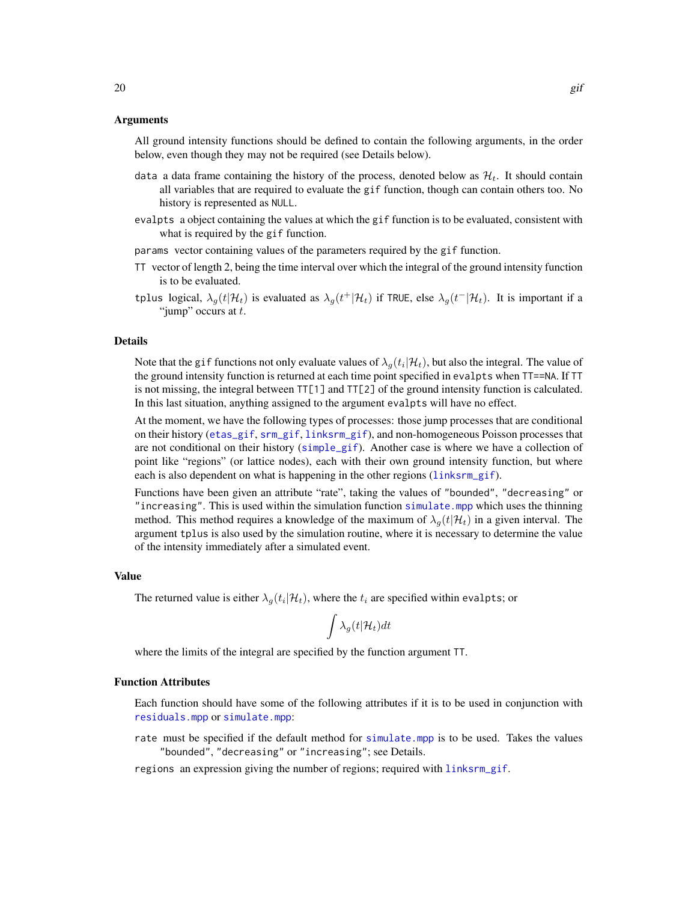#### <span id="page-19-0"></span>Arguments

All ground intensity functions should be defined to contain the following arguments, in the order below, even though they may not be required (see Details below).

- data a data frame containing the history of the process, denoted below as  $\mathcal{H}_t$ . It should contain all variables that are required to evaluate the gif function, though can contain others too. No history is represented as NULL.
- evalpts a object containing the values at which the gif function is to be evaluated, consistent with what is required by the gif function.
- params vector containing values of the parameters required by the gif function.
- TT vector of length 2, being the time interval over which the integral of the ground intensity function is to be evaluated.
- tplus logical,  $\lambda_g(t|\mathcal{H}_t)$  is evaluated as  $\lambda_g(t^+|\mathcal{H}_t)$  if TRUE, else  $\lambda_g(t^-|\mathcal{H}_t)$ . It is important if a "jump" occurs at  $t$ .

#### Details

Note that the gif functions not only evaluate values of  $\lambda_g(t_i|\mathcal{H}_t)$ , but also the integral. The value of the ground intensity function is returned at each time point specified in evalpts when TT==NA. If TT is not missing, the integral between TT[1] and TT[2] of the ground intensity function is calculated. In this last situation, anything assigned to the argument evalpts will have no effect.

At the moment, we have the following types of processes: those jump processes that are conditional on their history ([etas\\_gif](#page-16-1), [srm\\_gif](#page-44-1), [linksrm\\_gif](#page-24-1)), and non-homogeneous Poisson processes that are not conditional on their history ([simple\\_gif](#page-40-1)). Another case is where we have a collection of point like "regions" (or lattice nodes), each with their own ground intensity function, but where each is also dependent on what is happening in the other regions ([linksrm\\_gif](#page-24-1)).

Functions have been given an attribute "rate", taking the values of "bounded", "decreasing" or "increasing". This is used within the simulation function [simulate.mpp](#page-42-2) which uses the thinning method. This method requires a knowledge of the maximum of  $\lambda_q(t|\mathcal{H}_t)$  in a given interval. The argument tplus is also used by the simulation routine, where it is necessary to determine the value of the intensity immediately after a simulated event.

#### Value

The returned value is either  $\lambda_g(t_i|\mathcal{H}_t)$ , where the  $t_i$  are specified within evalpts; or

$$
\int \lambda_g(t|\mathcal{H}_t) dt
$$

where the limits of the integral are specified by the function argument TT.

#### Function Attributes

Each function should have some of the following attributes if it is to be used in conjunction with [residuals.mpp](#page-39-2) or [simulate.mpp](#page-42-2):

- rate must be specified if the default method for [simulate.mpp](#page-42-2) is to be used. Takes the values "bounded", "decreasing" or "increasing"; see Details.
- regions an expression giving the number of regions; required with [linksrm\\_gif](#page-24-1).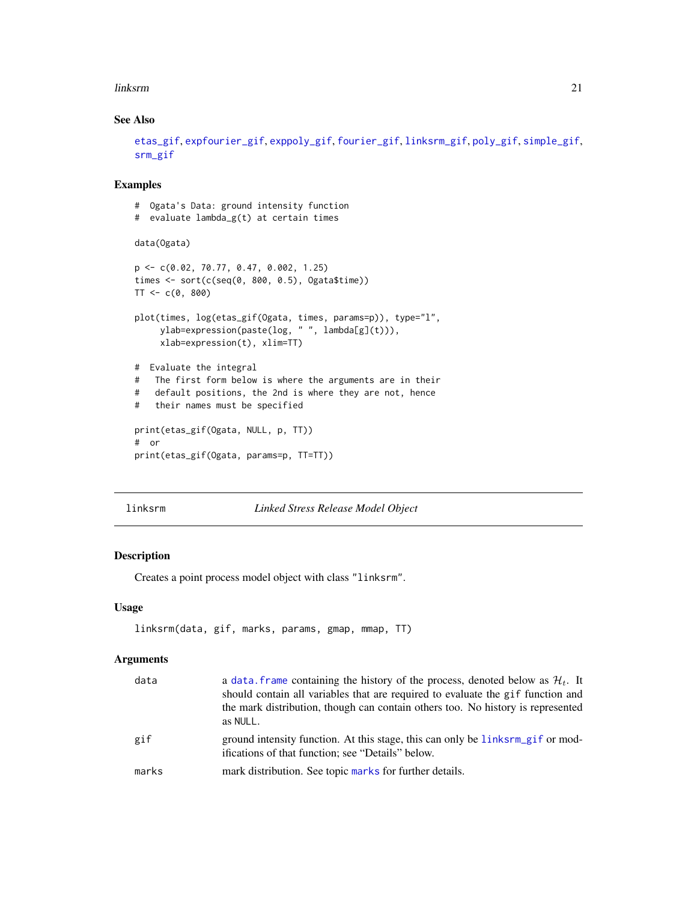#### <span id="page-20-0"></span>linksrm 21

# See Also

```
etas_gif, expfourier_gif, exppoly_gif, fourier_gif, linksrm_gif, poly_gif, simple_gif,
srm_gif
```
## Examples

```
# Ogata's Data: ground intensity function
# evaluate lambda_g(t) at certain times
data(Ogata)
p <- c(0.02, 70.77, 0.47, 0.002, 1.25)
times <- sort(c(seq(0, 800, 0.5), Ogata$time))
TT < -c(0, 800)plot(times, log(etas_gif(Ogata, times, params=p)), type="l",
     ylab=expression(paste(log, " ", lambda[g](t))),
    xlab=expression(t), xlim=TT)
# Evaluate the integral
# The first form below is where the arguments are in their
# default positions, the 2nd is where they are not, hence
# their names must be specified
print(etas_gif(Ogata, NULL, p, TT))
# or
print(etas_gif(Ogata, params=p, TT=TT))
```
<span id="page-20-1"></span>

linksrm *Linked Stress Release Model Object*

#### Description

Creates a point process model object with class "linksrm".

# Usage

```
linksrm(data, gif, marks, params, gmap, mmap, TT)
```
# Arguments

| data  | a data. Frame containing the history of the process, denoted below as $\mathcal{H}_t$ . It<br>should contain all variables that are required to evaluate the gif function and<br>the mark distribution, though can contain others too. No history is represented<br>as NULL. |
|-------|------------------------------------------------------------------------------------------------------------------------------------------------------------------------------------------------------------------------------------------------------------------------------|
| gif   | ground intensity function. At this stage, this can only be linksrm_gif or mod-<br>ifications of that function; see "Details" below.                                                                                                                                          |
| marks | mark distribution. See topic marks for further details.                                                                                                                                                                                                                      |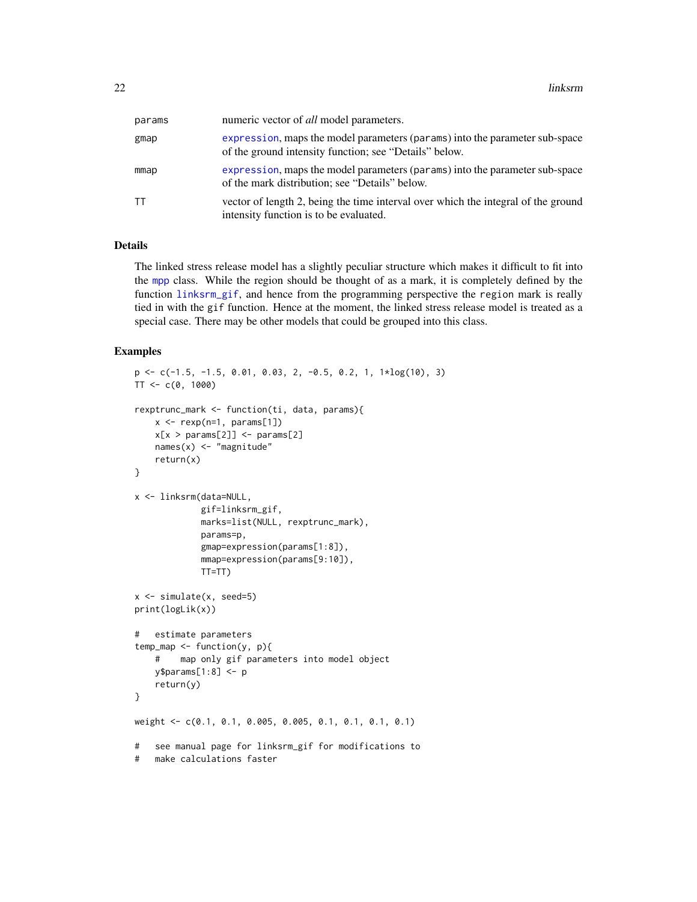<span id="page-21-0"></span>

| params | numeric vector of <i>all</i> model parameters.                                                                                        |
|--------|---------------------------------------------------------------------------------------------------------------------------------------|
| gmap   | expression, maps the model parameters (params) into the parameter sub-space<br>of the ground intensity function; see "Details" below. |
| mmap   | expression, maps the model parameters (params) into the parameter sub-space<br>of the mark distribution; see "Details" below.         |
| ТT     | vector of length 2, being the time interval over which the integral of the ground<br>intensity function is to be evaluated.           |

# Details

The linked stress release model has a slightly peculiar structure which makes it difficult to fit into the [mpp](#page-31-1) class. While the region should be thought of as a mark, it is completely defined by the function [linksrm\\_gif](#page-24-1), and hence from the programming perspective the region mark is really tied in with the gif function. Hence at the moment, the linked stress release model is treated as a special case. There may be other models that could be grouped into this class.

#### Examples

```
p \leftarrow c(-1.5, -1.5, 0.01, 0.03, 2, -0.5, 0.2, 1, 1*log(10), 3)TT < -c(0, 1000)rexptrunc_mark <- function(ti, data, params){
    x \leq -\text{resp}(n=1, \text{params}[1])x[x > params[2]] \leftarrow params[2]names(x) <- "magnitude"
    return(x)
}
x <- linksrm(data=NULL,
             gif=linksrm_gif,
             marks=list(NULL, rexptrunc_mark),
             params=p,
             gmap=expression(params[1:8]),
             mmap=expression(params[9:10]),
             TT=TT)
x <- simulate(x, seed=5)
print(logLik(x))
# estimate parameters
temp_map <- function(y, p){
    # map only gif parameters into model object
    y$params[1:8] <- p
    return(y)
}
weight <- c(0.1, 0.1, 0.005, 0.005, 0.1, 0.1, 0.1, 0.1)
# see manual page for linksrm_gif for modifications to
# make calculations faster
```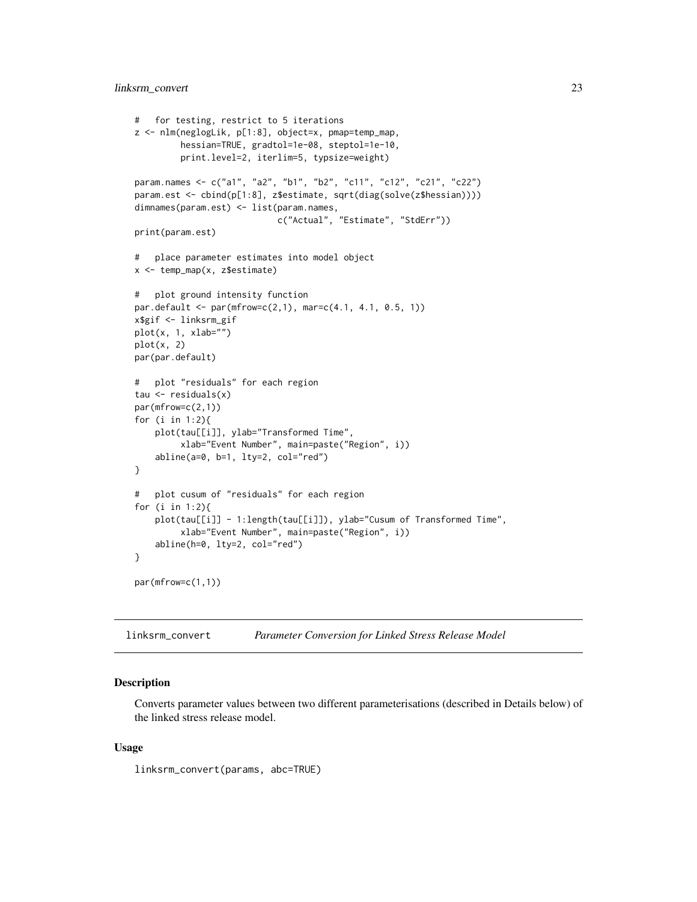```
# for testing, restrict to 5 iterations
z <- nlm(neglogLik, p[1:8], object=x, pmap=temp_map,
        hessian=TRUE, gradtol=1e-08, steptol=1e-10,
         print.level=2, iterlim=5, typsize=weight)
param.names <- c("a1", "a2", "b1", "b2", "c11", "c12", "c21", "c22")
param.est <- cbind(p[1:8], z$estimate, sqrt(diag(solve(z$hessian))))
dimnames(param.est) <- list(param.names,
                            c("Actual", "Estimate", "StdErr"))
print(param.est)
# place parameter estimates into model object
x <- temp_map(x, z$estimate)
# plot ground intensity function
par.default <- par(mfrow=c(2,1), mar=c(4.1, 4.1, 0.5, 1))
x$gif <- linksrm_gif
plot(x, 1, xlab="")
plot(x, 2)
par(par.default)
# plot "residuals" for each region
tau \leftarrow residuals(x)par(mfrow=c(2,1))
for (i in 1:2){
   plot(tau[[i]], ylab="Transformed Time",
         xlab="Event Number", main=paste("Region", i))
    abline(a=0, b=1, lty=2, col="red")
}
# plot cusum of "residuals" for each region
for (i in 1:2){
   plot(tau[[i]] - 1:length(tau[[i]]), ylab="Cusum of Transformed Time",
         xlab="Event Number", main=paste("Region", i))
    abline(h=0, lty=2, col="red")
}
par(mfrow=c(1,1))
```
<span id="page-22-1"></span>linksrm\_convert *Parameter Conversion for Linked Stress Release Model*

# Description

Converts parameter values between two different parameterisations (described in Details below) of the linked stress release model.

#### Usage

linksrm\_convert(params, abc=TRUE)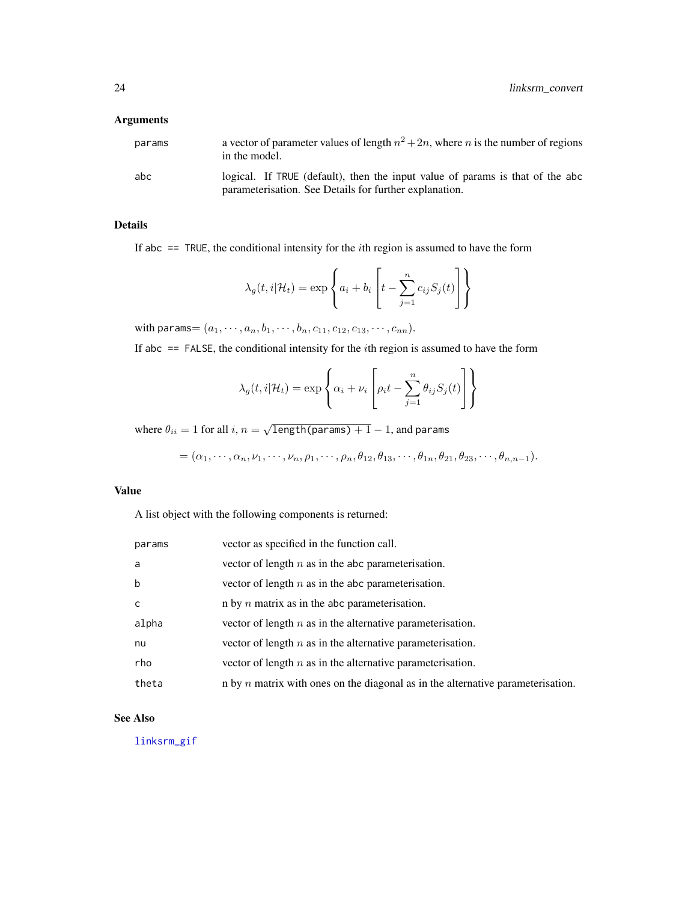# <span id="page-23-0"></span>Arguments

| params | a vector of parameter values of length $n^2 + 2n$ , where <i>n</i> is the number of regions<br>in the model.                            |
|--------|-----------------------------------------------------------------------------------------------------------------------------------------|
| abc    | logical. If TRUE (default), then the input value of params is that of the abc<br>parameterisation. See Details for further explanation. |

# Details

If abc  $==$  TRUE, the conditional intensity for the *i*th region is assumed to have the form

$$
\lambda_g(t, i | \mathcal{H}_t) = \exp \left\{ a_i + b_i \left[ t - \sum_{j=1}^n c_{ij} S_j(t) \right] \right\}
$$

with params=  $(a_1, \dots, a_n, b_1, \dots, b_n, c_{11}, c_{12}, c_{13}, \dots, c_{nn}).$ 

If abc  $==$  FALSE, the conditional intensity for the *i*th region is assumed to have the form

$$
\lambda_g(t, i | \mathcal{H}_t) = \exp \left\{ \alpha_i + \nu_i \left[ \rho_i t - \sum_{j=1}^n \theta_{ij} S_j(t) \right] \right\}
$$

where  $\theta_{ii} = 1$  for all  $i, n = \sqrt{\text{length}(\text{params}) + 1} - 1$ , and params

$$
=(\alpha_1,\cdots,\alpha_n,\nu_1,\cdots,\nu_n,\rho_1,\cdots,\rho_n,\theta_{12},\theta_{13},\cdots,\theta_{1n},\theta_{21},\theta_{23},\cdots,\theta_{n,n-1}).
$$

#### Value

A list object with the following components is returned:

| params | vector as specified in the function call.                                         |
|--------|-----------------------------------------------------------------------------------|
| a      | vector of length $n$ as in the abc parameterisation.                              |
| b      | vector of length $n$ as in the abc parameterisation.                              |
| C      | n by $n$ matrix as in the abc parameterisation.                                   |
| alpha  | vector of length $n$ as in the alternative parameterisation.                      |
| nu     | vector of length $n$ as in the alternative parameterisation.                      |
| rho    | vector of length $n$ as in the alternative parameterisation.                      |
| theta  | n by $n$ matrix with ones on the diagonal as in the alternative parameterisation. |

# See Also

[linksrm\\_gif](#page-24-1)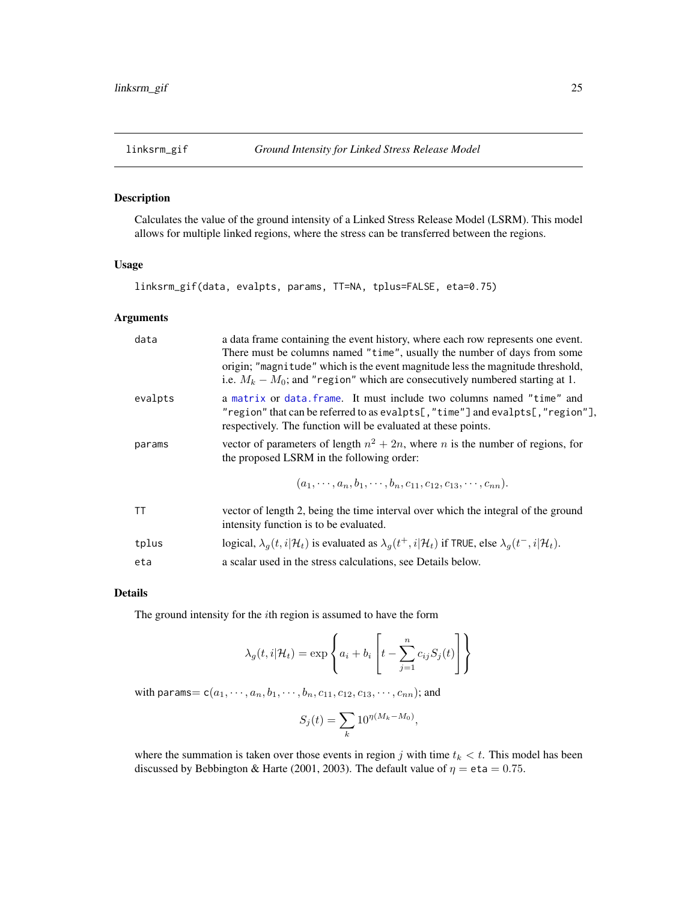<span id="page-24-1"></span><span id="page-24-0"></span>

# Description

Calculates the value of the ground intensity of a Linked Stress Release Model (LSRM). This model allows for multiple linked regions, where the stress can be transferred between the regions.

#### Usage

linksrm\_gif(data, evalpts, params, TT=NA, tplus=FALSE, eta=0.75)

#### Arguments

| data      | a data frame containing the event history, where each row represents one event.<br>There must be columns named "time", usually the number of days from some<br>origin; "magnitude" which is the event magnitude less the magnitude threshold,<br>i.e. $M_k - M_0$ ; and "region" which are consecutively numbered starting at 1. |
|-----------|----------------------------------------------------------------------------------------------------------------------------------------------------------------------------------------------------------------------------------------------------------------------------------------------------------------------------------|
| evalpts   | a matrix or data. frame. It must include two columns named "time" and<br>"region" that can be referred to as evalpts[, "time"] and evalpts[, "region"],<br>respectively. The function will be evaluated at these points.                                                                                                         |
| params    | vector of parameters of length $n^2 + 2n$ , where <i>n</i> is the number of regions, for<br>the proposed LSRM in the following order:                                                                                                                                                                                            |
|           | $(a_1, \dots, a_n, b_1, \dots, b_n, c_{11}, c_{12}, c_{13}, \dots, c_{nn}).$                                                                                                                                                                                                                                                     |
| <b>TT</b> | vector of length 2, being the time interval over which the integral of the ground<br>intensity function is to be evaluated.                                                                                                                                                                                                      |
| tplus     | logical, $\lambda_q(t, i   \mathcal{H}_t)$ is evaluated as $\lambda_q(t^+, i   \mathcal{H}_t)$ if TRUE, else $\lambda_q(t^-, i   \mathcal{H}_t)$ .                                                                                                                                                                               |
| eta       | a scalar used in the stress calculations, see Details below.                                                                                                                                                                                                                                                                     |

#### Details

The ground intensity for the *i*th region is assumed to have the form

$$
\lambda_g(t, i | \mathcal{H}_t) = \exp \left\{ a_i + b_i \left[ t - \sum_{j=1}^n c_{ij} S_j(t) \right] \right\}
$$

with params =  $c(a_1, \dots, a_n, b_1, \dots, b_n, c_{11}, c_{12}, c_{13}, \dots, c_{nn})$ ; and

$$
S_j(t) = \sum_k 10^{\eta(M_k - M_0)},
$$

where the summation is taken over those events in region j with time  $t_k < t$ . This model has been discussed by Bebbington & Harte (2001, 2003). The default value of  $\eta = \text{eta} = 0.75$ .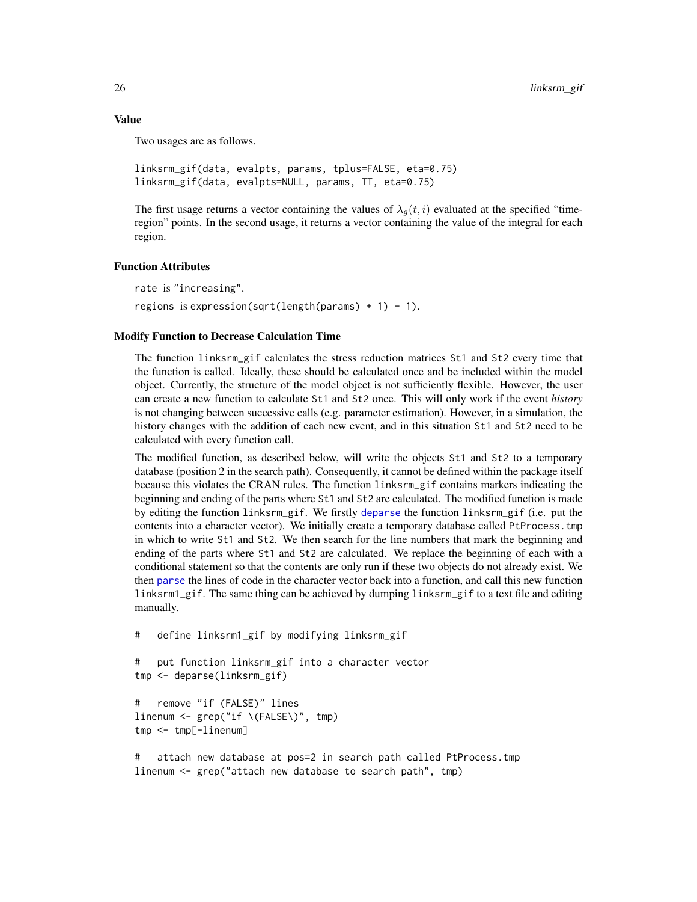#### Value

Two usages are as follows.

```
linksrm_gif(data, evalpts, params, tplus=FALSE, eta=0.75)
linksrm_gif(data, evalpts=NULL, params, TT, eta=0.75)
```
The first usage returns a vector containing the values of  $\lambda_q(t, i)$  evaluated at the specified "timeregion" points. In the second usage, it returns a vector containing the value of the integral for each region.

#### Function Attributes

rate is "increasing". regions is expression(sqrt(length(params) + 1) - 1).

#### Modify Function to Decrease Calculation Time

The function linksrm\_gif calculates the stress reduction matrices St1 and St2 every time that the function is called. Ideally, these should be calculated once and be included within the model object. Currently, the structure of the model object is not sufficiently flexible. However, the user can create a new function to calculate St1 and St2 once. This will only work if the event *history* is not changing between successive calls (e.g. parameter estimation). However, in a simulation, the history changes with the addition of each new event, and in this situation St1 and St2 need to be calculated with every function call.

The modified function, as described below, will write the objects St1 and St2 to a temporary database (position 2 in the search path). Consequently, it cannot be defined within the package itself because this violates the CRAN rules. The function linksrm\_gif contains markers indicating the beginning and ending of the parts where St1 and St2 are calculated. The modified function is made by editing the function linksrm\_gif. We firstly [deparse](#page-0-0) the function linksrm\_gif (i.e. put the contents into a character vector). We initially create a temporary database called PtProcess.tmp in which to write St1 and St2. We then search for the line numbers that mark the beginning and ending of the parts where St1 and St2 are calculated. We replace the beginning of each with a conditional statement so that the contents are only run if these two objects do not already exist. We then [parse](#page-0-0) the lines of code in the character vector back into a function, and call this new function linksrm1\_gif. The same thing can be achieved by dumping linksrm\_gif to a text file and editing manually.

```
# define linksrm1_gif by modifying linksrm_gif
```

```
# put function linksrm_gif into a character vector
tmp <- deparse(linksrm_gif)
# remove "if (FALSE)" lines
```

```
linenum <- grep("if \(FALSE\)", tmp)
tmp <- tmp[-linenum]
```

```
# attach new database at pos=2 in search path called PtProcess.tmp
linenum <- grep("attach new database to search path", tmp)
```
<span id="page-25-0"></span>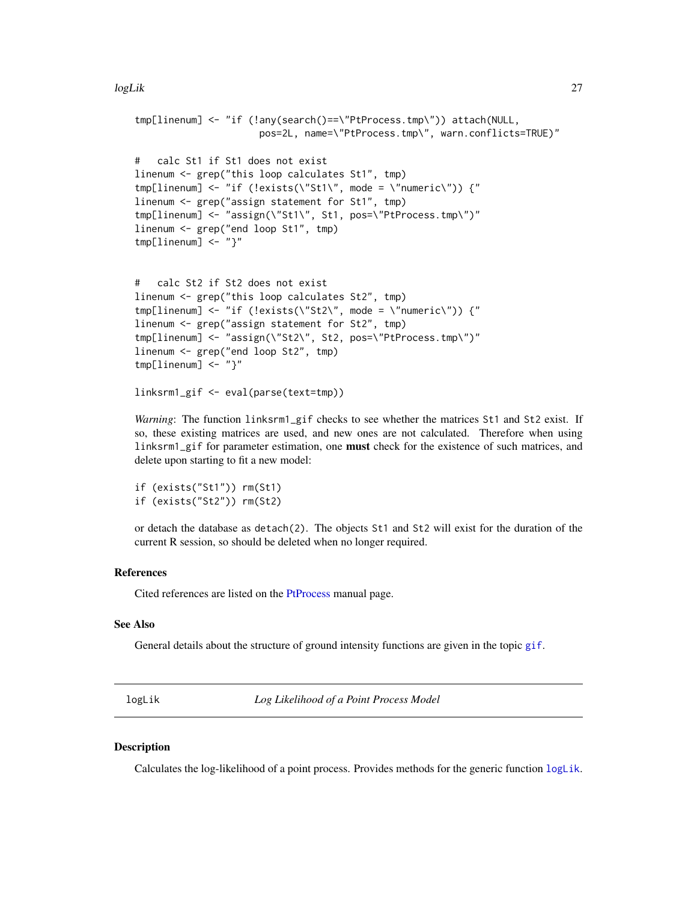#### <span id="page-26-0"></span>logLik 27

```
tmp[linenum] <- "if (!any(search()==\"PtProcess.tmp\")) attach(NULL,
                      pos=2L, name=\"PtProcess.tmp\", warn.conflicts=TRUE)"
# calc St1 if St1 does not exist
linenum <- grep("this loop calculates St1", tmp)
tmp[linear] \leftarrow "if (!exists(\n'St1\n', mode = \n'mumeric\n')) {\n''}linenum <- grep("assign statement for St1", tmp)
tmp[linenum] <- "assign(\"St1\", St1, pos=\"PtProcess.tmp\")"
linenum <- grep("end loop St1", tmp)
tmp[linenum] <- "}"
# calc St2 if St2 does not exist
linenum <- grep("this loop calculates St2", tmp)
tmp[linear] < - "if (!exists(\"St2\", mode = \"numeric\")) {"
linenum <- grep("assign statement for St2", tmp)
tmp[linenum] <- "assign(\"St2\", St2, pos=\"PtProcess.tmp\")"
linenum <- grep("end loop St2", tmp)
tmp[linenum] <- "}"
```

```
linksrm1_gif <- eval(parse(text=tmp))
```
*Warning*: The function linksrm1\_gif checks to see whether the matrices St1 and St2 exist. If so, these existing matrices are used, and new ones are not calculated. Therefore when using linksrm1\_gif for parameter estimation, one **must** check for the existence of such matrices, and delete upon starting to fit a new model:

```
if (exists("St1")) rm(St1)
if (exists("St2")) rm(St2)
```
or detach the database as detach(2). The objects St1 and St2 will exist for the duration of the current R session, so should be deleted when no longer required.

## References

Cited references are listed on the [PtProcess](#page-1-1) manual page.

# See Also

General details about the structure of ground intensity functions are given in the topic [gif](#page-18-1).

<span id="page-26-1"></span>logLik *Log Likelihood of a Point Process Model*

#### <span id="page-26-2"></span>Description

Calculates the log-likelihood of a point process. Provides methods for the generic function [logLik](#page-26-1).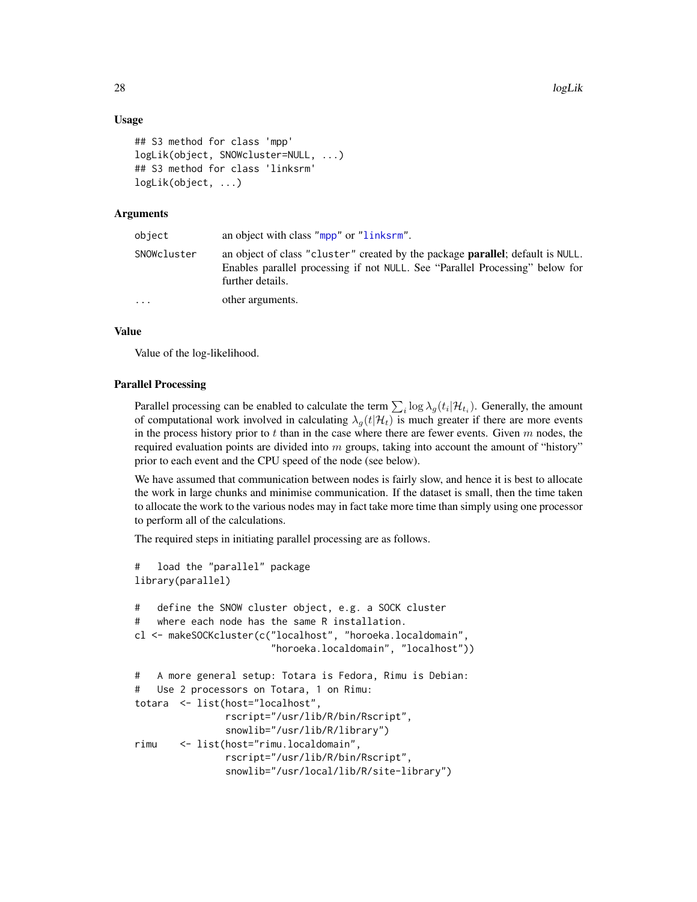# Usage

```
## S3 method for class 'mpp'
logLik(object, SNOWcluster=NULL, ...)
## S3 method for class 'linksrm'
logLik(object, ...)
```
# Arguments

| object      | an object with class "mpp" or "linksrm".                                                                                                                                                   |
|-------------|--------------------------------------------------------------------------------------------------------------------------------------------------------------------------------------------|
| SNOWcluster | an object of class "cluster" created by the package <b>parallel</b> ; default is NULL.<br>Enables parallel processing if not NULL. See "Parallel Processing" below for<br>further details. |
| .           | other arguments.                                                                                                                                                                           |

# Value

Value of the log-likelihood.

#### Parallel Processing

Parallel processing can be enabled to calculate the term  $\sum_i \log \lambda_g(t_i|\mathcal{H}_{t_i})$ . Generally, the amount of computational work involved in calculating  $\lambda_q(t)\mathcal{H}_t$  is much greater if there are more events in the process history prior to  $t$  than in the case where there are fewer events. Given  $m$  nodes, the required evaluation points are divided into  $m$  groups, taking into account the amount of "history" prior to each event and the CPU speed of the node (see below).

We have assumed that communication between nodes is fairly slow, and hence it is best to allocate the work in large chunks and minimise communication. If the dataset is small, then the time taken to allocate the work to the various nodes may in fact take more time than simply using one processor to perform all of the calculations.

The required steps in initiating parallel processing are as follows.

```
# load the "parallel" package
library(parallel)
# define the SNOW cluster object, e.g. a SOCK cluster
# where each node has the same R installation.
cl <- makeSOCKcluster(c("localhost", "horoeka.localdomain",
                       "horoeka.localdomain", "localhost"))
# A more general setup: Totara is Fedora, Rimu is Debian:
# Use 2 processors on Totara, 1 on Rimu:
totara <- list(host="localhost",
               rscript="/usr/lib/R/bin/Rscript",
                snowlib="/usr/lib/R/library")
rimu <- list(host="rimu.localdomain",
                rscript="/usr/lib/R/bin/Rscript",
                snowlib="/usr/local/lib/R/site-library")
```
<span id="page-27-0"></span>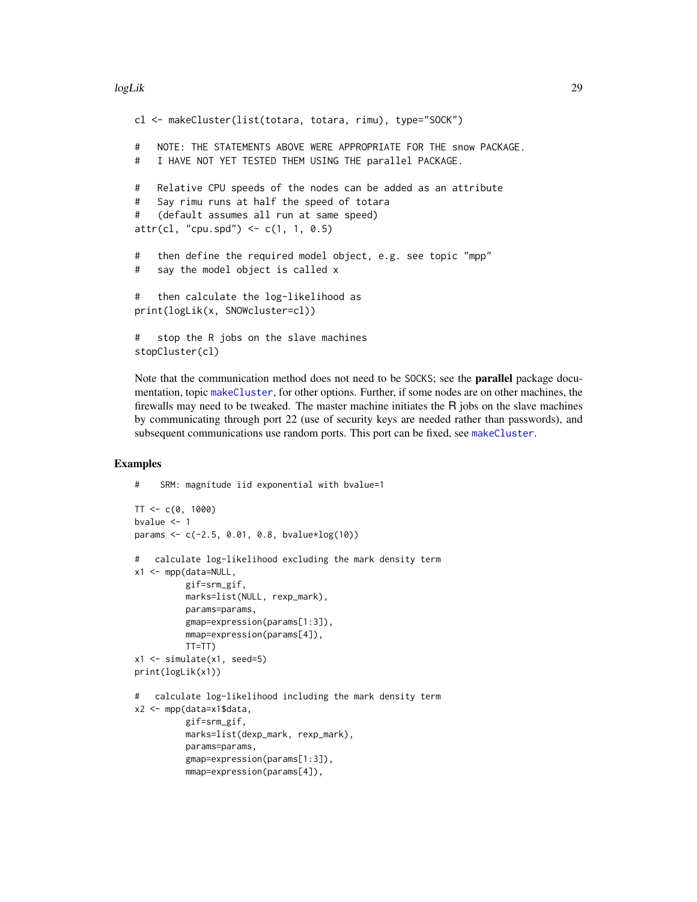#### <span id="page-28-0"></span>logLik 29

```
cl <- makeCluster(list(totara, totara, rimu), type="SOCK")
# NOTE: THE STATEMENTS ABOVE WERE APPROPRIATE FOR THE snow PACKAGE.
# I HAVE NOT YET TESTED THEM USING THE parallel PACKAGE.
# Relative CPU speeds of the nodes can be added as an attribute
# Say rimu runs at half the speed of totara
# (default assumes all run at same speed)
attr(cl, "cpu.split") < -c(1, 1, 0.5)# then define the required model object, e.g. see topic "mpp"
# say the model object is called x
# then calculate the log-likelihood as
print(logLik(x, SNOWcluster=cl))
# stop the R jobs on the slave machines
stopCluster(cl)
```
Note that the communication method does not need to be SOCKS; see the parallel package documentation, topic [makeCluster](#page-0-0), for other options. Further, if some nodes are on other machines, the firewalls may need to be tweaked. The master machine initiates the R jobs on the slave machines by communicating through port 22 (use of security keys are needed rather than passwords), and subsequent communications use random ports. This port can be fixed, see [makeCluster](#page-0-0).

#### Examples

```
TT < -c(0, 1000)bvalue <-1params <- c(-2.5, 0.01, 0.8, bvalue*log(10))
# calculate log-likelihood excluding the mark density term
x1 <- mpp(data=NULL,
         gif=srm_gif,
         marks=list(NULL, rexp_mark),
          params=params,
          gmap=expression(params[1:3]),
         mmap=expression(params[4]),
         TT=TT)
x1 <- simulate(x1, seed=5)
print(logLik(x1))
# calculate log-likelihood including the mark density term
x2 <- mpp(data=x1$data,
          gif=srm_gif,
          marks=list(dexp_mark, rexp_mark),
          params=params,
          gmap=expression(params[1:3]),
         mmap=expression(params[4]),
```
# SRM: magnitude iid exponential with bvalue=1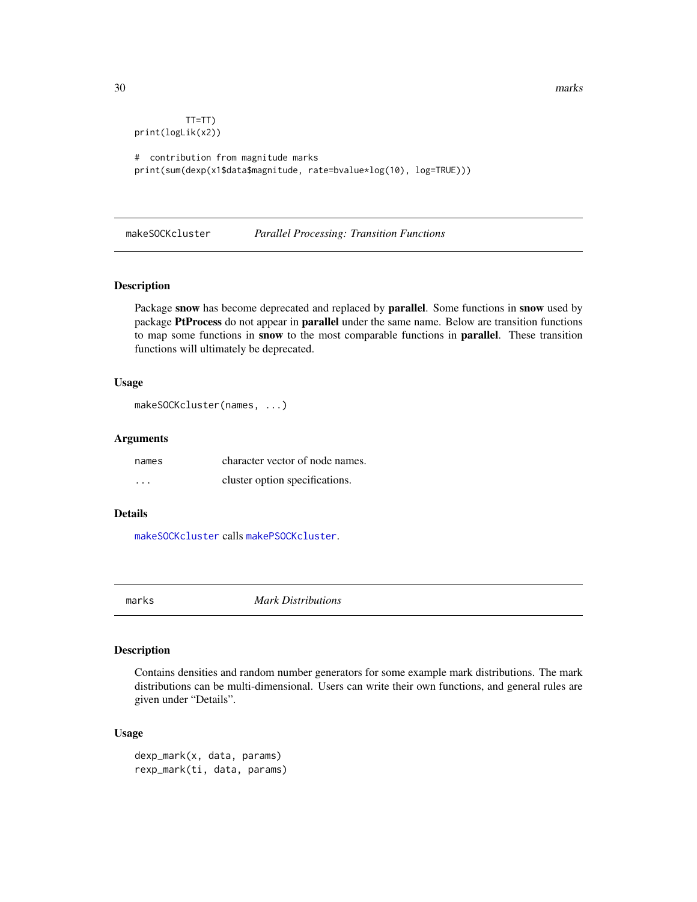30 marks

```
TT=TT)
print(logLik(x2))
# contribution from magnitude marks
print(sum(dexp(x1$data$magnitude, rate=bvalue*log(10), log=TRUE)))
```
<span id="page-29-2"></span>makeSOCKcluster *Parallel Processing: Transition Functions*

#### Description

Package snow has become deprecated and replaced by parallel. Some functions in snow used by package PtProcess do not appear in parallel under the same name. Below are transition functions to map some functions in **snow** to the most comparable functions in **parallel**. These transition functions will ultimately be deprecated.

# Usage

makeSOCKcluster(names, ...)

#### Arguments

| names    | character vector of node names. |
|----------|---------------------------------|
| $\cdots$ | cluster option specifications.  |

# Details

[makeSOCKcluster](#page-29-2) calls [makePSOCKcluster](#page-0-0).

<span id="page-29-1"></span>marks *Mark Distributions*

### Description

Contains densities and random number generators for some example mark distributions. The mark distributions can be multi-dimensional. Users can write their own functions, and general rules are given under "Details".

# Usage

```
dexp_mark(x, data, params)
rexp_mark(ti, data, params)
```
<span id="page-29-0"></span>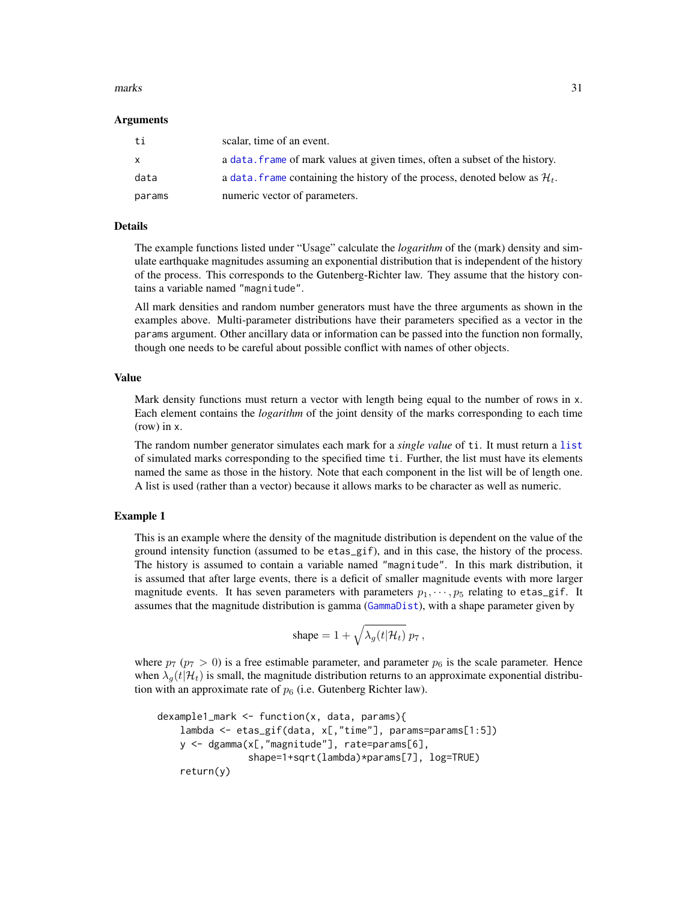#### <span id="page-30-0"></span>marks 31

#### Arguments

| ti           | scalar, time of an event.                                                               |
|--------------|-----------------------------------------------------------------------------------------|
| $\mathsf{X}$ | a data. frame of mark values at given times, often a subset of the history.             |
| data         | a data, frame containing the history of the process, denoted below as $\mathcal{H}_t$ . |
| params       | numeric vector of parameters.                                                           |

# Details

The example functions listed under "Usage" calculate the *logarithm* of the (mark) density and simulate earthquake magnitudes assuming an exponential distribution that is independent of the history of the process. This corresponds to the Gutenberg-Richter law. They assume that the history contains a variable named "magnitude".

All mark densities and random number generators must have the three arguments as shown in the examples above. Multi-parameter distributions have their parameters specified as a vector in the params argument. Other ancillary data or information can be passed into the function non formally, though one needs to be careful about possible conflict with names of other objects.

#### Value

Mark density functions must return a vector with length being equal to the number of rows in x. Each element contains the *logarithm* of the joint density of the marks corresponding to each time (row) in x.

The random number generator simulates each mark for a *single value* of ti. It must return a [list](#page-0-0) of simulated marks corresponding to the specified time ti. Further, the list must have its elements named the same as those in the history. Note that each component in the list will be of length one. A list is used (rather than a vector) because it allows marks to be character as well as numeric.

## Example 1

This is an example where the density of the magnitude distribution is dependent on the value of the ground intensity function (assumed to be etas\_gif), and in this case, the history of the process. The history is assumed to contain a variable named "magnitude". In this mark distribution, it is assumed that after large events, there is a deficit of smaller magnitude events with more larger magnitude events. It has seven parameters with parameters  $p_1, \dots, p_5$  relating to etas\_gif. It assumes that the magnitude distribution is gamma ([GammaDist](#page-0-0)), with a shape parameter given by

shape = 
$$
1 + \sqrt{\lambda_g(t|\mathcal{H}_t)} p_7
$$
,

where  $p_7$  ( $p_7 > 0$ ) is a free estimable parameter, and parameter  $p_6$  is the scale parameter. Hence when  $\lambda_q(t|\mathcal{H}_t)$  is small, the magnitude distribution returns to an approximate exponential distribution with an approximate rate of  $p_6$  (i.e. Gutenberg Richter law).

dexample1\_mark <- function(x, data, params){ lambda <- etas\_gif(data, x[,"time"], params=params[1:5]) y <- dgamma(x[,"magnitude"], rate=params[6], shape=1+sqrt(lambda)\*params[7], log=TRUE) return(y)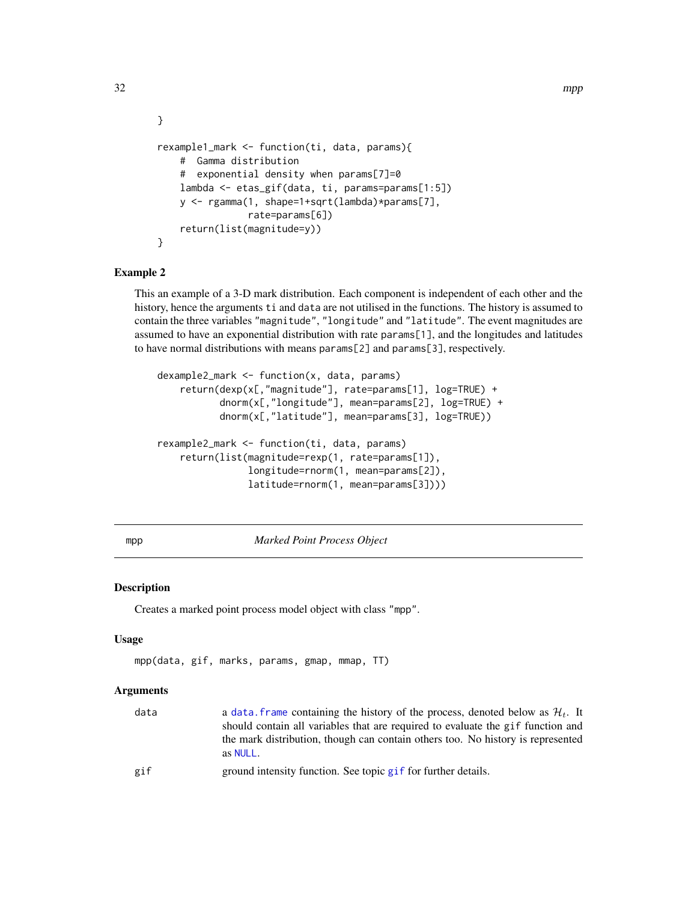```
}
rexample1_mark <- function(ti, data, params){
   # Gamma distribution
   # exponential density when params[7]=0
   lambda <- etas_gif(data, ti, params=params[1:5])
   y <- rgamma(1, shape=1+sqrt(lambda)*params[7],
                rate=params[6])
   return(list(magnitude=y))
}
```
# Example 2

This an example of a 3-D mark distribution. Each component is independent of each other and the history, hence the arguments ti and data are not utilised in the functions. The history is assumed to contain the three variables "magnitude", "longitude" and "latitude". The event magnitudes are assumed to have an exponential distribution with rate params[1], and the longitudes and latitudes to have normal distributions with means params[2] and params[3], respectively.

```
dexample2_mark <- function(x, data, params)
   return(dexp(x[,"magnitude"], rate=params[1], log=TRUE) +
           dnorm(x[,"longitude"], mean=params[2], log=TRUE) +
           dnorm(x[,"latitude"], mean=params[3], log=TRUE))
rexample2_mark <- function(ti, data, params)
   return(list(magnitude=rexp(1, rate=params[1]),
                longitude=rnorm(1, mean=params[2]),
                latitude=rnorm(1, mean=params[3])))
```
<span id="page-31-1"></span>mpp *Marked Point Process Object*

# Description

Creates a marked point process model object with class "mpp".

#### Usage

```
mpp(data, gif, marks, params, gmap, mmap, TT)
```
#### Arguments

| data | a data. Frame containing the history of the process, denoted below as $\mathcal{H}_t$ . It |
|------|--------------------------------------------------------------------------------------------|
|      | should contain all variables that are required to evaluate the gif function and            |
|      | the mark distribution, though can contain others too. No history is represented            |
|      | as NULL.                                                                                   |
| gif  | ground intensity function. See topic gif for further details.                              |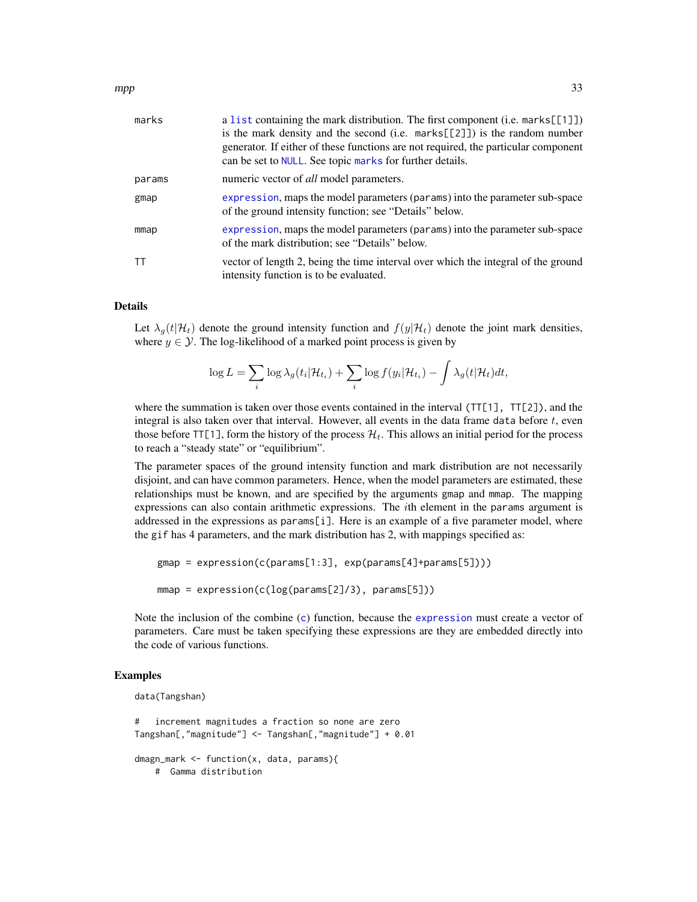<span id="page-32-0"></span>

| marks  | a list containing the mark distribution. The first component (i.e. $mark[1]]$ )<br>is the mark density and the second (i.e. $marks[[2]]$ ) is the random number<br>generator. If either of these functions are not required, the particular component<br>can be set to NULL. See topic marks for further details. |
|--------|-------------------------------------------------------------------------------------------------------------------------------------------------------------------------------------------------------------------------------------------------------------------------------------------------------------------|
| params | numeric vector of <i>all</i> model parameters.                                                                                                                                                                                                                                                                    |
| gmap   | expression, maps the model parameters (params) into the parameter sub-space<br>of the ground intensity function; see "Details" below.                                                                                                                                                                             |
| mmap   | expression, maps the model parameters (params) into the parameter sub-space<br>of the mark distribution; see "Details" below.                                                                                                                                                                                     |
| TT     | vector of length 2, being the time interval over which the integral of the ground<br>intensity function is to be evaluated.                                                                                                                                                                                       |

# Details

Let  $\lambda_q(t|\mathcal{H}_t)$  denote the ground intensity function and  $f(y|\mathcal{H}_t)$  denote the joint mark densities, where  $y \in \mathcal{Y}$ . The log-likelihood of a marked point process is given by

$$
\log L = \sum_{i} \log \lambda_g(t_i | \mathcal{H}_{t_i}) + \sum_{i} \log f(y_i | \mathcal{H}_{t_i}) - \int \lambda_g(t | \mathcal{H}_t) dt,
$$

where the summation is taken over those events contained in the interval (TT[1], TT[2]), and the integral is also taken over that interval. However, all events in the data frame data before  $t$ , even those before TT[1], form the history of the process  $\mathcal{H}_t$ . This allows an initial period for the process to reach a "steady state" or "equilibrium".

The parameter spaces of the ground intensity function and mark distribution are not necessarily disjoint, and can have common parameters. Hence, when the model parameters are estimated, these relationships must be known, and are specified by the arguments gmap and mmap. The mapping expressions can also contain arithmetic expressions. The  $i$ th element in the params argument is addressed in the expressions as params[i]. Here is an example of a five parameter model, where the gif has 4 parameters, and the mark distribution has 2, with mappings specified as:

```
gmap = expression(c(params[1:3], exp(params[4]+params[5])))
mmap = expression(c(log(params[2]/3), params[5]))
```
Note the inclusion of the combine ([c](#page-0-0)) function, because the [expression](#page-0-0) must create a vector of parameters. Care must be taken specifying these expressions are they are embedded directly into the code of various functions.

# Examples

```
data(Tangshan)
```

```
# increment magnitudes a fraction so none are zero
Tangshan[,"magnitude"] <- Tangshan[,"magnitude"] + 0.01
dmagn_mark <- function(x, data, params){
   # Gamma distribution
```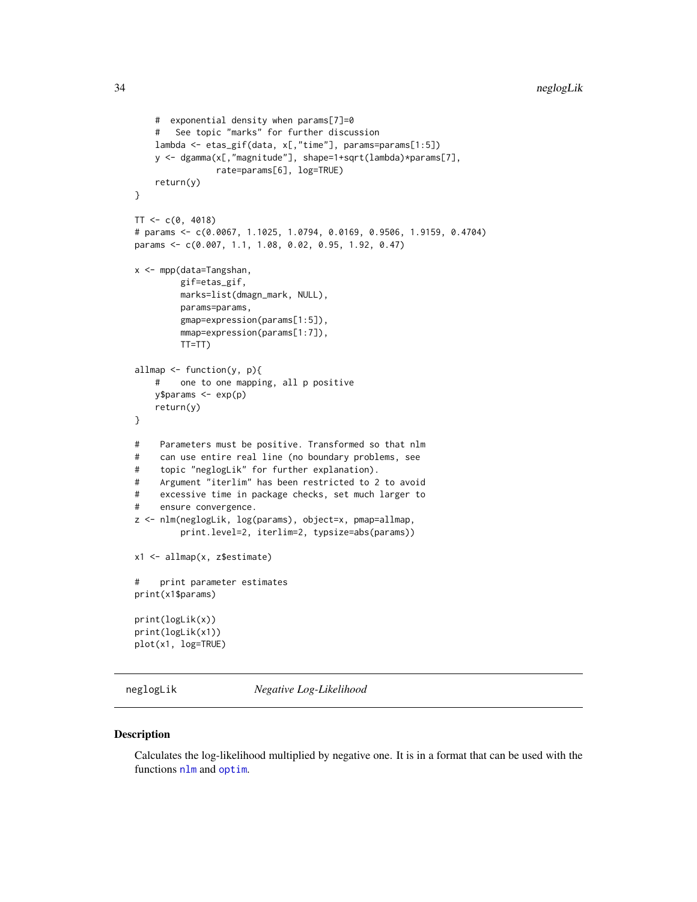```
# exponential density when params[7]=0
    # See topic "marks" for further discussion
   lambda <- etas_gif(data, x[,"time"], params=params[1:5])
   y <- dgamma(x[,"magnitude"], shape=1+sqrt(lambda)*params[7],
               rate=params[6], log=TRUE)
    return(y)
}
TT < -c(0, 4018)# params <- c(0.0067, 1.1025, 1.0794, 0.0169, 0.9506, 1.9159, 0.4704)
params <- c(0.007, 1.1, 1.08, 0.02, 0.95, 1.92, 0.47)
x <- mpp(data=Tangshan,
        gif=etas_gif,
        marks=list(dmagn_mark, NULL),
        params=params,
        gmap=expression(params[1:5]),
        mmap=expression(params[1:7]),
        TT=TT)
allmap \leq function(y, p){
    # one to one mapping, all p positive
   y$params <- exp(p)
   return(y)
}
# Parameters must be positive. Transformed so that nlm
# can use entire real line (no boundary problems, see
# topic "neglogLik" for further explanation).
# Argument "iterlim" has been restricted to 2 to avoid
# excessive time in package checks, set much larger to
# ensure convergence.
z <- nlm(neglogLik, log(params), object=x, pmap=allmap,
         print.level=2, iterlim=2, typsize=abs(params))
x1 <- allmap(x, z$estimate)
# print parameter estimates
print(x1$params)
print(logLik(x))
print(logLik(x1))
plot(x1, log=TRUE)
```
<span id="page-33-1"></span>neglogLik *Negative Log-Likelihood*

# Description

Calculates the log-likelihood multiplied by negative one. It is in a format that can be used with the functions [nlm](#page-0-0) and [optim](#page-0-0).

<span id="page-33-0"></span>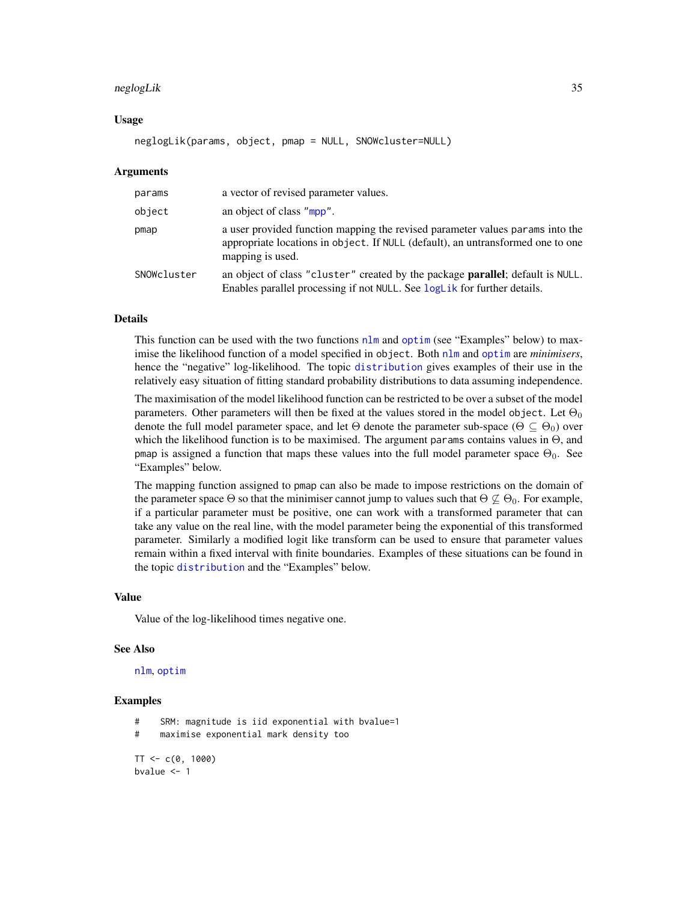#### <span id="page-34-0"></span>neglogLik 35

#### Usage

neglogLik(params, object, pmap = NULL, SNOWcluster=NULL)

#### Arguments

| params      | a vector of revised parameter values.                                                                                                                                                |
|-------------|--------------------------------------------------------------------------------------------------------------------------------------------------------------------------------------|
| object      | an object of class "mpp".                                                                                                                                                            |
| pmap        | a user provided function mapping the revised parameter values params into the<br>appropriate locations in object. If NULL (default), an untransformed one to one<br>mapping is used. |
| SNOWcluster | an object of class "cluster" created by the package parallel; default is NULL.<br>Enables parallel processing if not NULL. See logLik for further details.                           |

#### Details

This function can be used with the two functions  $n \text{lm}$  and [optim](#page-0-0) (see "Examples" below) to maximise the likelihood function of a model specified in object. Both [nlm](#page-0-0) and [optim](#page-0-0) are *minimisers*, hence the "negative" log-likelihood. The topic [distribution](#page-8-1) gives examples of their use in the relatively easy situation of fitting standard probability distributions to data assuming independence.

The maximisation of the model likelihood function can be restricted to be over a subset of the model parameters. Other parameters will then be fixed at the values stored in the model object. Let  $\Theta_0$ denote the full model parameter space, and let  $\Theta$  denote the parameter sub-space ( $\Theta \subseteq \Theta_0$ ) over which the likelihood function is to be maximised. The argument params contains values in  $\Theta$ , and pmap is assigned a function that maps these values into the full model parameter space  $\Theta_0$ . See "Examples" below.

The mapping function assigned to pmap can also be made to impose restrictions on the domain of the parameter space  $\Theta$  so that the minimiser cannot jump to values such that  $\Theta \not\subseteq \Theta_0$ . For example, if a particular parameter must be positive, one can work with a transformed parameter that can take any value on the real line, with the model parameter being the exponential of this transformed parameter. Similarly a modified logit like transform can be used to ensure that parameter values remain within a fixed interval with finite boundaries. Examples of these situations can be found in the topic [distribution](#page-8-1) and the "Examples" below.

#### Value

Value of the log-likelihood times negative one.

#### See Also

[nlm](#page-0-0), [optim](#page-0-0)

# Examples

- # SRM: magnitude is iid exponential with bvalue=1
- # maximise exponential mark density too

 $TT < -c(0, 1000)$ bvalue  $<-1$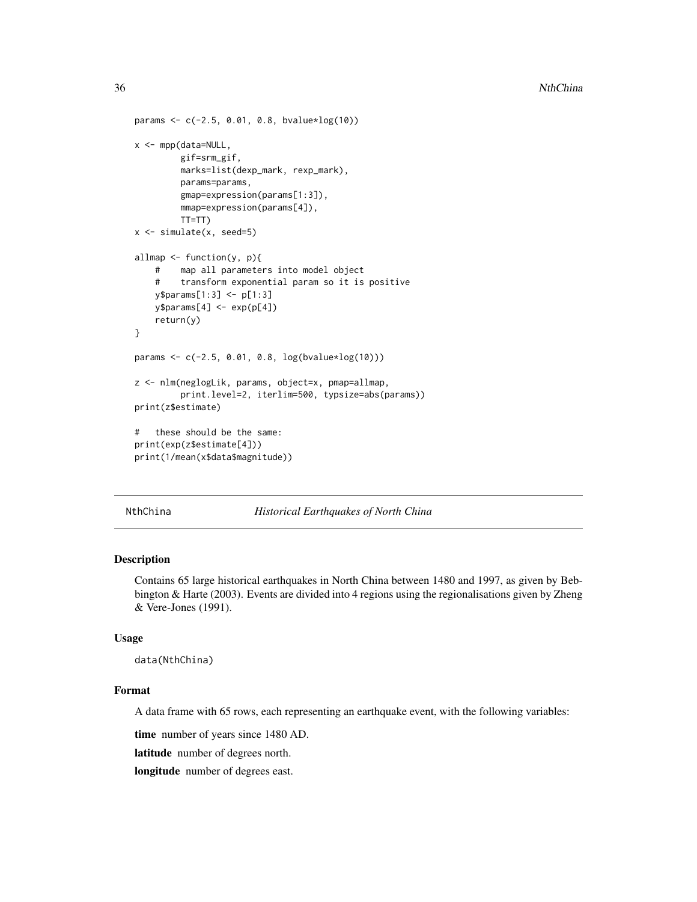```
params <- c(-2.5, 0.01, 0.8, bvalue*log(10))
x <- mpp(data=NULL,
        gif=srm_gif,
        marks=list(dexp_mark, rexp_mark),
        params=params,
         gmap=expression(params[1:3]),
        mmap=expression(params[4]),
        TT=TT)
x <- simulate(x, seed=5)
allmap \leq function(y, p){
    # map all parameters into model object
    # transform exponential param so it is positive
   y$params[1:3] <- p[1:3]
   y$params[4] <- exp(p[4])
    return(y)
}
params <- c(-2.5, 0.01, 0.8, log(bvalue*log(10)))
z <- nlm(neglogLik, params, object=x, pmap=allmap,
         print.level=2, iterlim=500, typsize=abs(params))
print(z$estimate)
# these should be the same:
print(exp(z$estimate[4]))
print(1/mean(x$data$magnitude))
```
NthChina *Historical Earthquakes of North China*

#### Description

Contains 65 large historical earthquakes in North China between 1480 and 1997, as given by Bebbington & Harte (2003). Events are divided into 4 regions using the regionalisations given by Zheng & Vere-Jones (1991).

#### Usage

```
data(NthChina)
```
# Format

A data frame with 65 rows, each representing an earthquake event, with the following variables:

time number of years since 1480 AD.

latitude number of degrees north.

longitude number of degrees east.

<span id="page-35-0"></span>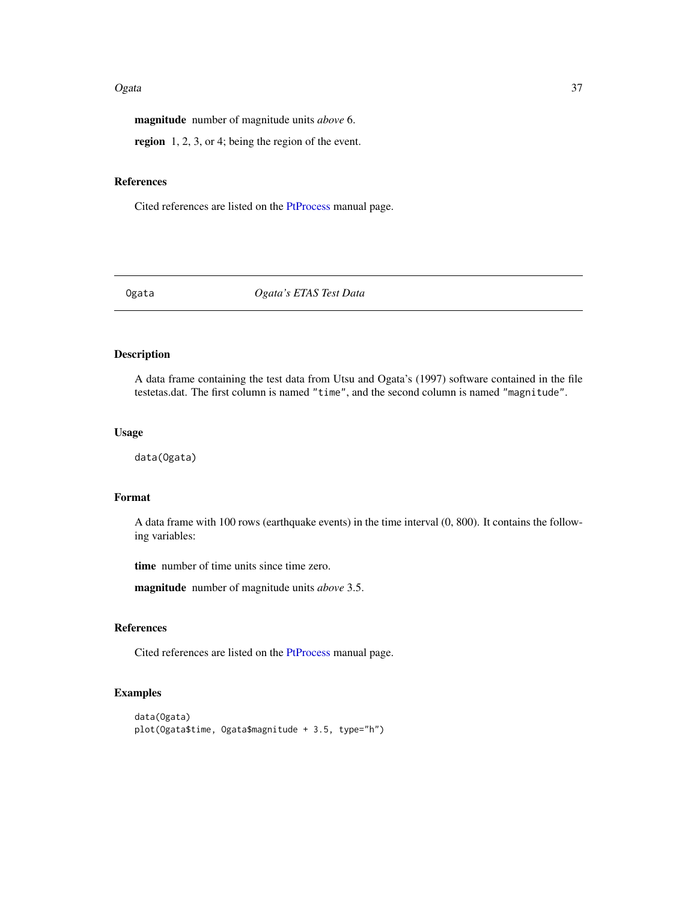#### <span id="page-36-0"></span>**Ogata** 37

magnitude number of magnitude units *above* 6.

region 1, 2, 3, or 4; being the region of the event.

# References

Cited references are listed on the [PtProcess](#page-1-1) manual page.

Ogata *Ogata's ETAS Test Data*

# Description

A data frame containing the test data from Utsu and Ogata's (1997) software contained in the file testetas.dat. The first column is named "time", and the second column is named "magnitude".

# Usage

data(Ogata)

# Format

A data frame with 100 rows (earthquake events) in the time interval (0, 800). It contains the following variables:

time number of time units since time zero.

magnitude number of magnitude units *above* 3.5.

# References

Cited references are listed on the [PtProcess](#page-1-1) manual page.

# Examples

```
data(Ogata)
plot(Ogata$time, Ogata$magnitude + 3.5, type="h")
```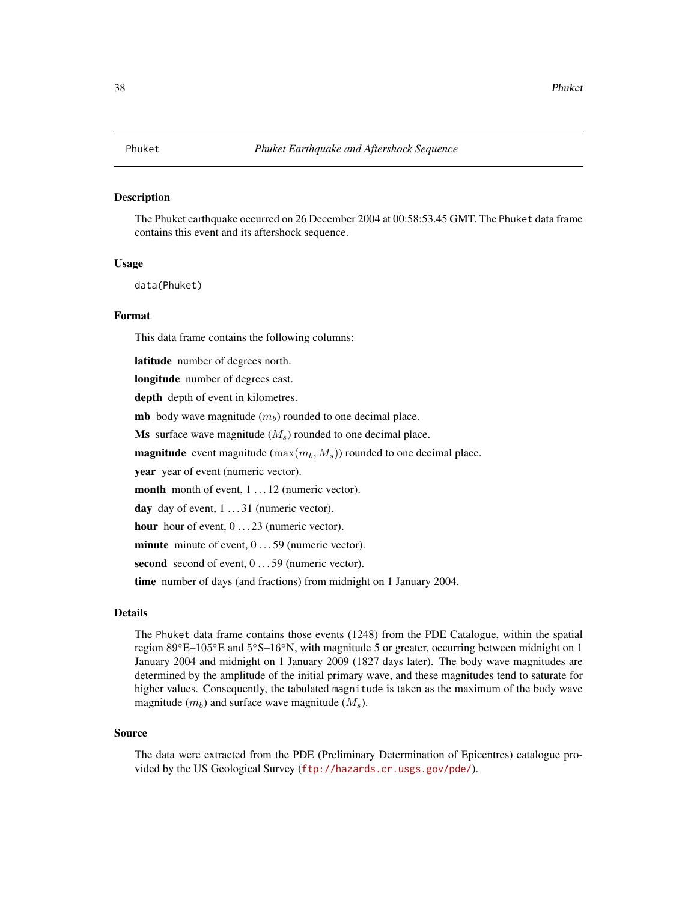#### <span id="page-37-1"></span><span id="page-37-0"></span>Description

The Phuket earthquake occurred on 26 December 2004 at 00:58:53.45 GMT. The Phuket data frame contains this event and its aftershock sequence.

#### Usage

data(Phuket)

#### Format

This data frame contains the following columns:

latitude number of degrees north.

longitude number of degrees east.

depth depth of event in kilometres.

mb body wave magnitude  $(m_b)$  rounded to one decimal place.

**Ms** surface wave magnitude  $(M_s)$  rounded to one decimal place.

**magnitude** event magnitude  $(\max(m_b, M_s))$  rounded to one decimal place.

year year of event (numeric vector).

month month of event, 1 . . . 12 (numeric vector).

day day of event,  $1 \ldots 31$  (numeric vector).

hour hour of event,  $0 \dots 23$  (numeric vector).

minute minute of event,  $0 \dots 59$  (numeric vector).

second second of event,  $0 \dots 59$  (numeric vector).

time number of days (and fractions) from midnight on 1 January 2004.

#### Details

The Phuket data frame contains those events (1248) from the PDE Catalogue, within the spatial region 89°E-105°E and 5°S-16°N, with magnitude 5 or greater, occurring between midnight on 1 January 2004 and midnight on 1 January 2009 (1827 days later). The body wave magnitudes are determined by the amplitude of the initial primary wave, and these magnitudes tend to saturate for higher values. Consequently, the tabulated magnitude is taken as the maximum of the body wave magnitude  $(m_b)$  and surface wave magnitude  $(M_s)$ .

#### Source

The data were extracted from the PDE (Preliminary Determination of Epicentres) catalogue provided by the US Geological Survey (<ftp://hazards.cr.usgs.gov/pde/>).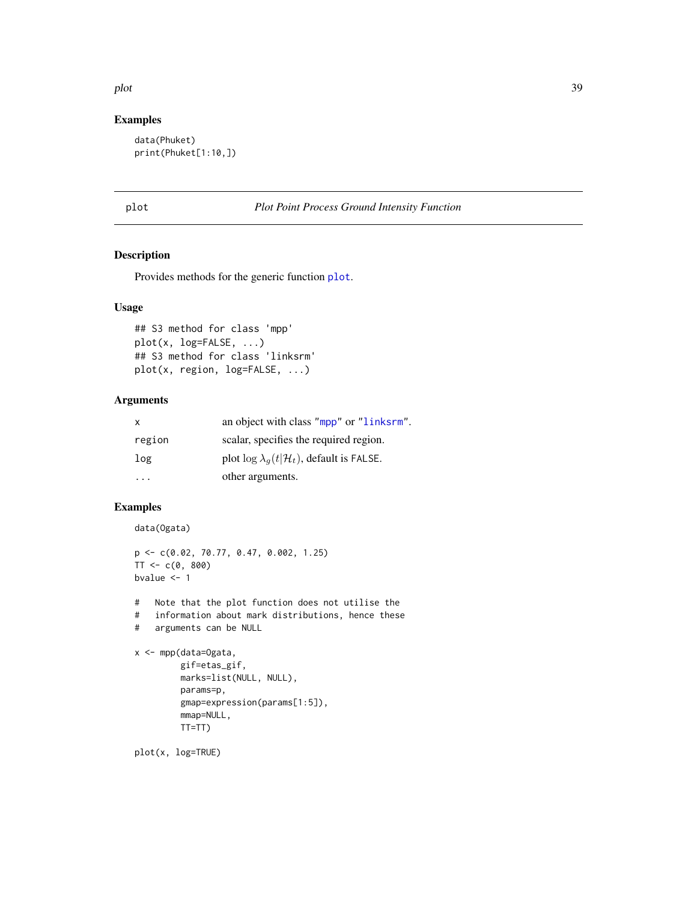# <span id="page-38-0"></span>plot the state of the state of the state of the state of the state of the state of the state of the state of the state of the state of the state of the state of the state of the state of the state of the state of the state

# Examples

```
data(Phuket)
print(Phuket[1:10,])
```
# <span id="page-38-1"></span>plot *Plot Point Process Ground Intensity Function*

# <span id="page-38-2"></span>Description

Provides methods for the generic function [plot](#page-38-1).

# Usage

```
## S3 method for class 'mpp'
plot(x, log=FALSE, ...)
## S3 method for class 'linksrm'
plot(x, region, log=FALSE, ...)
```
# Arguments

| $\mathsf{x}$ | an object with class "mpp" or "linksrm".                   |
|--------------|------------------------------------------------------------|
| region       | scalar, specifies the required region.                     |
| log          | plot $\log \lambda_a(t \mathcal{H}_t)$ , default is FALSE. |
| $\cdots$     | other arguments.                                           |

# Examples

```
data(Ogata)
```

```
p <- c(0.02, 70.77, 0.47, 0.002, 1.25)
TT < -c(0, 800)bvalue <- 1
```
# Note that the plot function does not utilise the

```
# information about mark distributions, hence these
```
# arguments can be NULL

```
x <- mpp(data=Ogata,
        gif=etas_gif,
        marks=list(NULL, NULL),
        params=p,
        gmap=expression(params[1:5]),
        mmap=NULL,
        TT=TT)
```
plot(x, log=TRUE)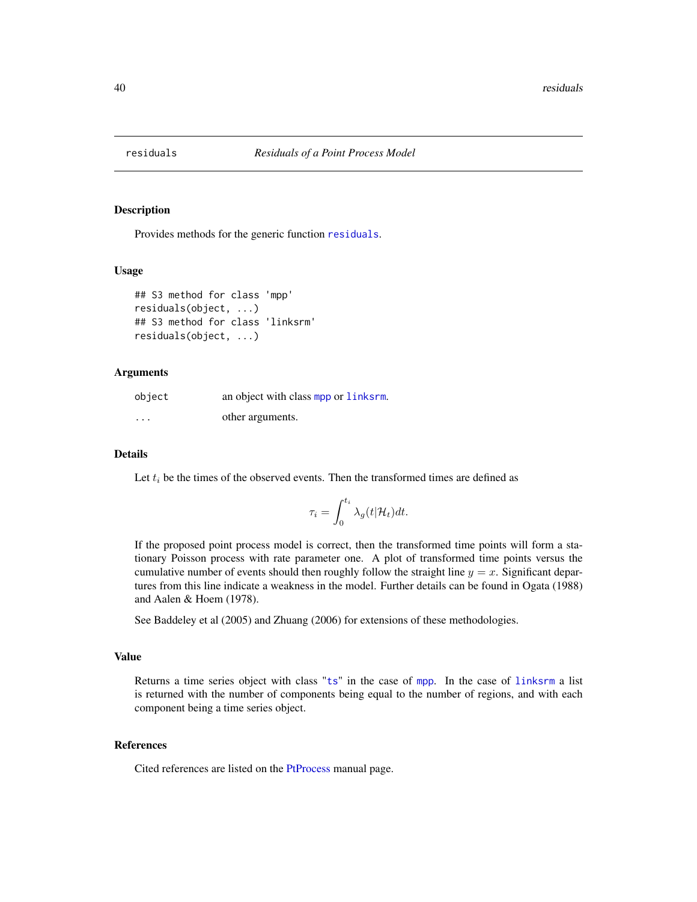<span id="page-39-1"></span><span id="page-39-0"></span>

#### <span id="page-39-2"></span>Description

Provides methods for the generic function [residuals](#page-39-1).

#### Usage

```
## S3 method for class 'mpp'
residuals(object, ...)
## S3 method for class 'linksrm'
residuals(object, ...)
```
#### Arguments

| object   | an object with class mpp or linksrm. |
|----------|--------------------------------------|
| $\cdots$ | other arguments.                     |

#### Details

Let  $t_i$  be the times of the observed events. Then the transformed times are defined as

$$
\tau_i = \int_0^{t_i} \lambda_g(t|\mathcal{H}_t) dt.
$$

If the proposed point process model is correct, then the transformed time points will form a stationary Poisson process with rate parameter one. A plot of transformed time points versus the cumulative number of events should then roughly follow the straight line  $y = x$ . Significant departures from this line indicate a weakness in the model. Further details can be found in Ogata (1988) and Aalen & Hoem (1978).

See Baddeley et al (2005) and Zhuang (2006) for extensions of these methodologies.

# Value

Returns a time series object with class "[ts](#page-0-0)" in the case of [mpp](#page-31-1). In the case of [linksrm](#page-20-1) a list is returned with the number of components being equal to the number of regions, and with each component being a time series object.

#### References

Cited references are listed on the [PtProcess](#page-1-1) manual page.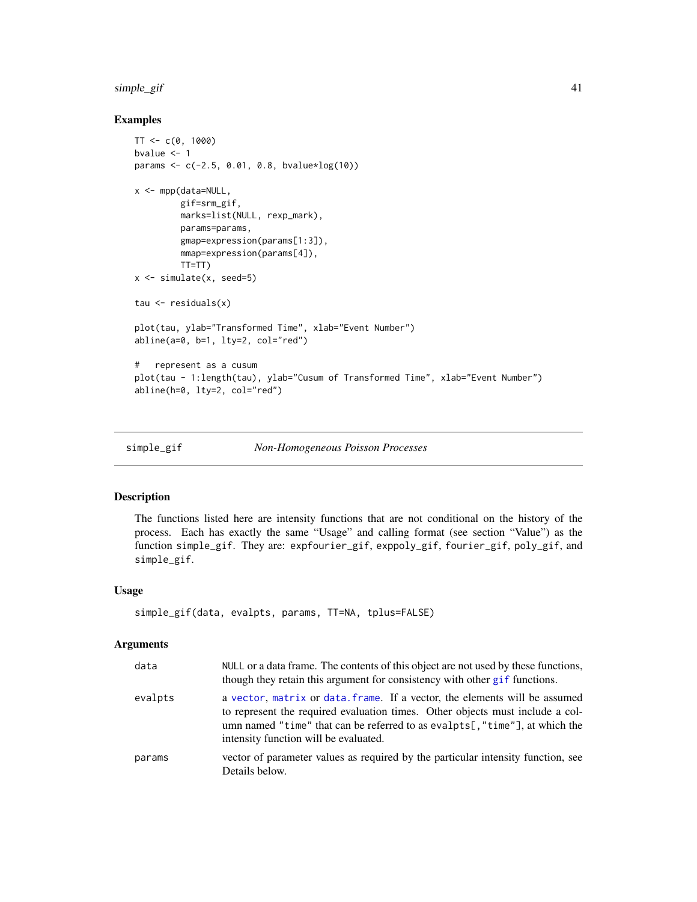# <span id="page-40-0"></span>simple\_gif 41

#### Examples

```
TT < -c(0, 1000)bvalue <-1params <- c(-2.5, 0.01, 0.8, bvalue*log(10))
x <- mpp(data=NULL,
        gif=srm_gif,
        marks=list(NULL, rexp_mark),
        params=params,
         gmap=expression(params[1:3]),
        mmap=expression(params[4]),
        TT=TT)
x <- simulate(x, seed=5)
tau <- residuals(x)
plot(tau, ylab="Transformed Time", xlab="Event Number")
abline(a=0, b=1, lty=2, col="red")
# represent as a cusum
plot(tau - 1:length(tau), ylab="Cusum of Transformed Time", xlab="Event Number")
abline(h=0, lty=2, col="red")
```
<span id="page-40-1"></span>simple\_gif *Non-Homogeneous Poisson Processes*

# <span id="page-40-2"></span>Description

The functions listed here are intensity functions that are not conditional on the history of the process. Each has exactly the same "Usage" and calling format (see section "Value") as the function simple\_gif. They are: expfourier\_gif, exppoly\_gif, fourier\_gif, poly\_gif, and simple\_gif.

#### Usage

```
simple_gif(data, evalpts, params, TT=NA, tplus=FALSE)
```
#### Arguments

| data    | NULL or a data frame. The contents of this object are not used by these functions,<br>though they retain this argument for consistency with other gif functions.                                                                                                                    |
|---------|-------------------------------------------------------------------------------------------------------------------------------------------------------------------------------------------------------------------------------------------------------------------------------------|
| evalpts | a vector, matrix or data. frame. If a vector, the elements will be assumed<br>to represent the required evaluation times. Other objects must include a col-<br>umn named "time" that can be referred to as evalpts[, "time"], at which the<br>intensity function will be evaluated. |
| params  | vector of parameter values as required by the particular intensity function, see<br>Details below.                                                                                                                                                                                  |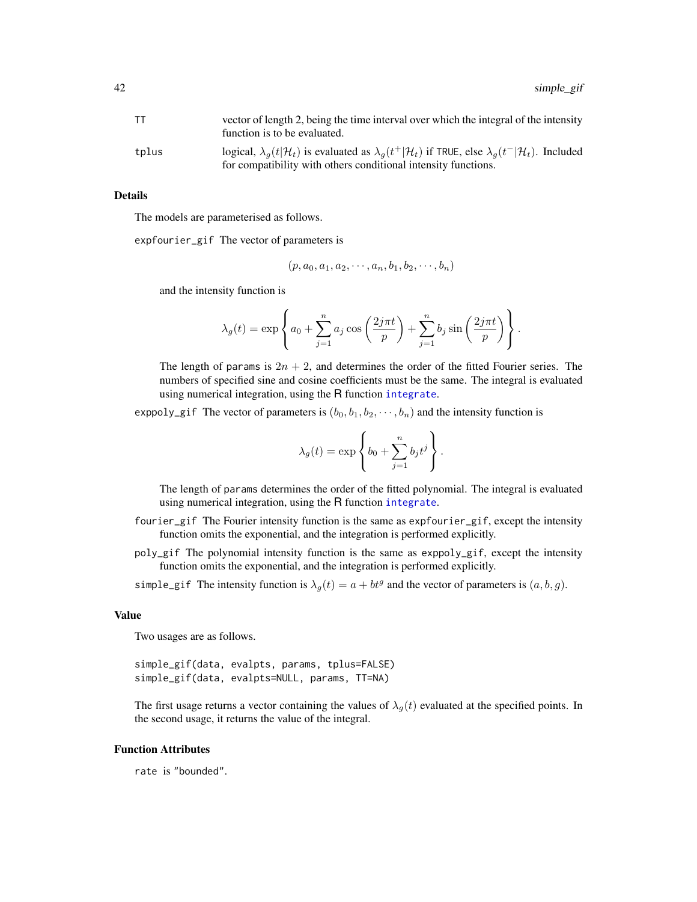<span id="page-41-0"></span>

| ТT    | vector of length 2, being the time interval over which the integral of the intensity<br>function is to be evaluated.                                                                                           |
|-------|----------------------------------------------------------------------------------------------------------------------------------------------------------------------------------------------------------------|
| tplus | logical, $\lambda_q(t \mathcal{H}_t)$ is evaluated as $\lambda_q(t^+ \mathcal{H}_t)$ if TRUE, else $\lambda_q(t^- \mathcal{H}_t)$ . Included<br>for compatibility with others conditional intensity functions. |

# Details

The models are parameterised as follows.

expfourier\_gif The vector of parameters is

$$
(p, a_0, a_1, a_2, \cdots, a_n, b_1, b_2, \cdots, b_n)
$$

and the intensity function is

$$
\lambda_g(t) = \exp\left\{a_0 + \sum_{j=1}^n a_j \cos\left(\frac{2j\pi t}{p}\right) + \sum_{j=1}^n b_j \sin\left(\frac{2j\pi t}{p}\right)\right\}.
$$

The length of params is  $2n + 2$ , and determines the order of the fitted Fourier series. The numbers of specified sine and cosine coefficients must be the same. The integral is evaluated using numerical integration, using the R function [integrate](#page-0-0).

exppoly\_gif The vector of parameters is  $(b_0, b_1, b_2, \dots, b_n)$  and the intensity function is

$$
\lambda_g(t) = \exp\left\{b_0 + \sum_{j=1}^n b_j t^j\right\}.
$$

The length of params determines the order of the fitted polynomial. The integral is evaluated using numerical integration, using the R function [integrate](#page-0-0).

- fourier\_gif The Fourier intensity function is the same as expfourier\_gif, except the intensity function omits the exponential, and the integration is performed explicitly.
- $poly\_gif$  The polynomial intensity function is the same as exppoly\_gif, except the intensity function omits the exponential, and the integration is performed explicitly.

simple\_gif The intensity function is  $\lambda_g(t) = a + bt^g$  and the vector of parameters is  $(a, b, g)$ .

#### Value

Two usages are as follows.

simple\_gif(data, evalpts, params, tplus=FALSE) simple\_gif(data, evalpts=NULL, params, TT=NA)

The first usage returns a vector containing the values of  $\lambda_q(t)$  evaluated at the specified points. In the second usage, it returns the value of the integral.

#### Function Attributes

rate is "bounded".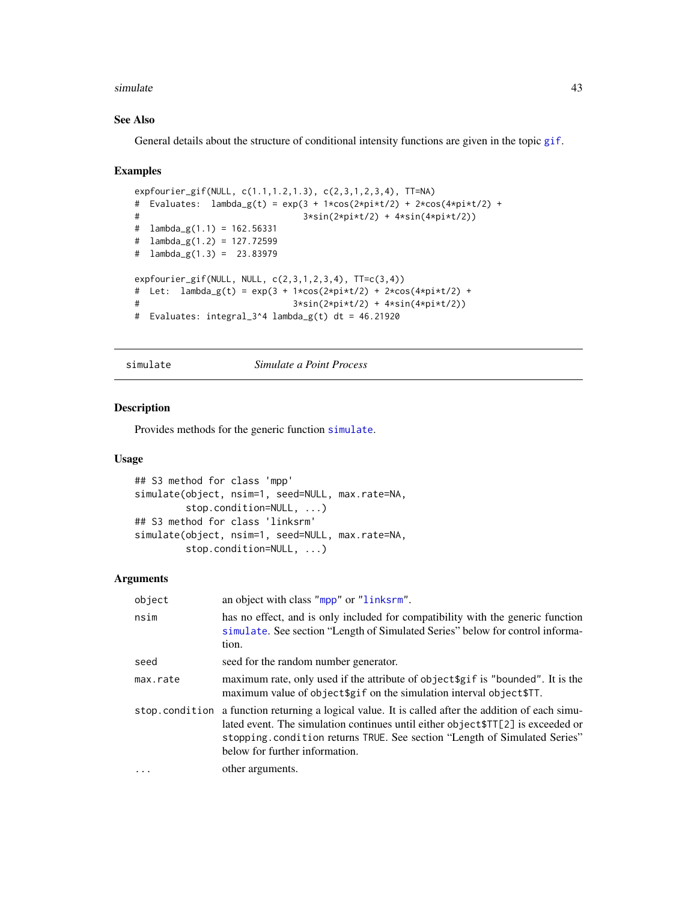#### <span id="page-42-0"></span>simulate 43

# See Also

General details about the structure of conditional intensity functions are given in the topic [gif](#page-18-1).

#### Examples

```
expfourier_gif(NULL, c(1.1,1.2,1.3), c(2,3,1,2,3,4), TT=NA)
# Evaluates: lambda_g(t) = exp(3 + 1 \times cos(2 \times pi \times t/2) + 2 \times cos(4 \times pi \times t/2) +# 3*sin(2*pi*t/2) + 4*sin(4*pi*t/2))
# lambda_g(1.1) = 162.56331
# lambda_g(1.2) = 127.72599
# lambda_g(1.3) = 23.83979
expfourier_gif(NULL, NULL, c(2,3,1,2,3,4), TT=c(3,4))
# Let: lambda_g(t) = exp(3 + 1 \times cos(2 \times pi \times t/2) + 2 \times cos(4 \times pi \times t/2) +# 3*sin(2*pi*t/2) + 4*sin(4*pi*t/2))
# Evaluates: integral_3^4 lambda_g(t) dt = 46.21920
```
<span id="page-42-1"></span>simulate *Simulate a Point Process*

#### <span id="page-42-2"></span>Description

Provides methods for the generic function [simulate](#page-42-1).

### Usage

```
## S3 method for class 'mpp'
simulate(object, nsim=1, seed=NULL, max.rate=NA,
         stop.condition=NULL, ...)
## S3 method for class 'linksrm'
simulate(object, nsim=1, seed=NULL, max.rate=NA,
         stop.condition=NULL, ...)
```
#### Arguments

| object   | an object with class "mpp" or "linksrm".                                                                                                                                                                                                                                                              |
|----------|-------------------------------------------------------------------------------------------------------------------------------------------------------------------------------------------------------------------------------------------------------------------------------------------------------|
| nsim     | has no effect, and is only included for compatibility with the generic function<br>simulate. See section "Length of Simulated Series" below for control informa-<br>tion.                                                                                                                             |
| seed     | seed for the random number generator.                                                                                                                                                                                                                                                                 |
| max.rate | maximum rate, only used if the attribute of object \$gif is "bounded". It is the<br>maximum value of object \$gif on the simulation interval object \$TT.                                                                                                                                             |
|          | stop condition a function returning a logical value. It is called after the addition of each simu-<br>lated event. The simulation continues until either object \$TT[2] is exceeded or<br>stopping.condition returns TRUE. See section "Length of Simulated Series"<br>below for further information. |
| $\cdots$ | other arguments.                                                                                                                                                                                                                                                                                      |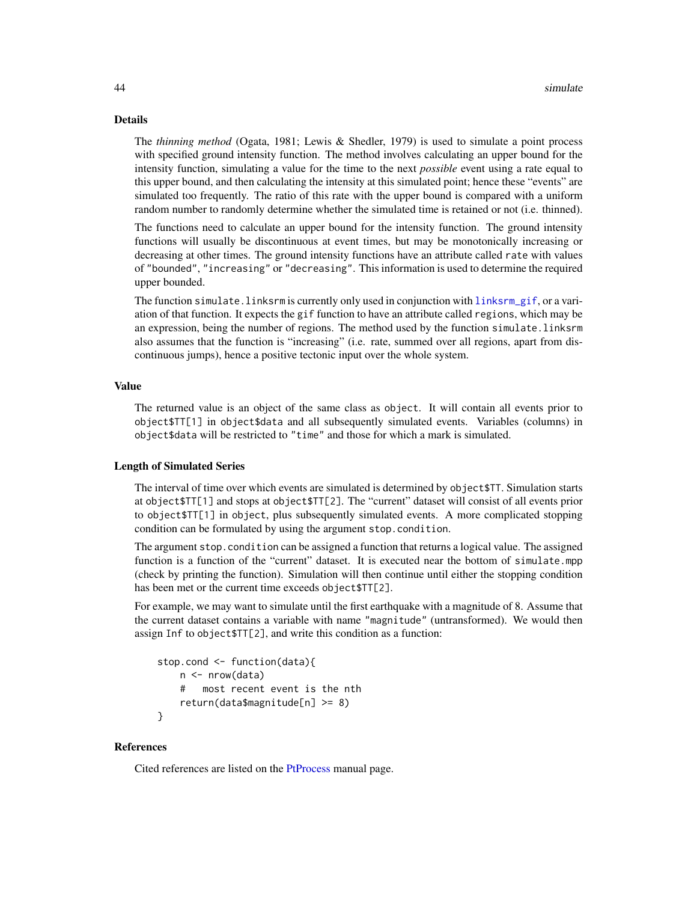#### <span id="page-43-0"></span>Details

The *thinning method* (Ogata, 1981; Lewis & Shedler, 1979) is used to simulate a point process with specified ground intensity function. The method involves calculating an upper bound for the intensity function, simulating a value for the time to the next *possible* event using a rate equal to this upper bound, and then calculating the intensity at this simulated point; hence these "events" are simulated too frequently. The ratio of this rate with the upper bound is compared with a uniform random number to randomly determine whether the simulated time is retained or not (i.e. thinned).

The functions need to calculate an upper bound for the intensity function. The ground intensity functions will usually be discontinuous at event times, but may be monotonically increasing or decreasing at other times. The ground intensity functions have an attribute called rate with values of "bounded", "increasing" or "decreasing". This information is used to determine the required upper bounded.

The function simulate.linksrm is currently only used in conjunction with [linksrm\\_gif](#page-24-1), or a variation of that function. It expects the gif function to have an attribute called regions, which may be an expression, being the number of regions. The method used by the function simulate.linksrm also assumes that the function is "increasing" (i.e. rate, summed over all regions, apart from discontinuous jumps), hence a positive tectonic input over the whole system.

#### Value

The returned value is an object of the same class as object. It will contain all events prior to object\$TT[1] in object\$data and all subsequently simulated events. Variables (columns) in object\$data will be restricted to "time" and those for which a mark is simulated.

#### Length of Simulated Series

The interval of time over which events are simulated is determined by object\$TT. Simulation starts at object\$TT[1] and stops at object\$TT[2]. The "current" dataset will consist of all events prior to object\$TT[1] in object, plus subsequently simulated events. A more complicated stopping condition can be formulated by using the argument stop.condition.

The argument stop.condition can be assigned a function that returns a logical value. The assigned function is a function of the "current" dataset. It is executed near the bottom of simulate.mpp (check by printing the function). Simulation will then continue until either the stopping condition has been met or the current time exceeds object\$TT[2].

For example, we may want to simulate until the first earthquake with a magnitude of 8. Assume that the current dataset contains a variable with name "magnitude" (untransformed). We would then assign Inf to object\$TT[2], and write this condition as a function:

```
stop.cond <- function(data){
   n <- nrow(data)
   # most recent event is the nth
   return(data$magnitude[n] >= 8)
}
```
#### References

Cited references are listed on the [PtProcess](#page-1-1) manual page.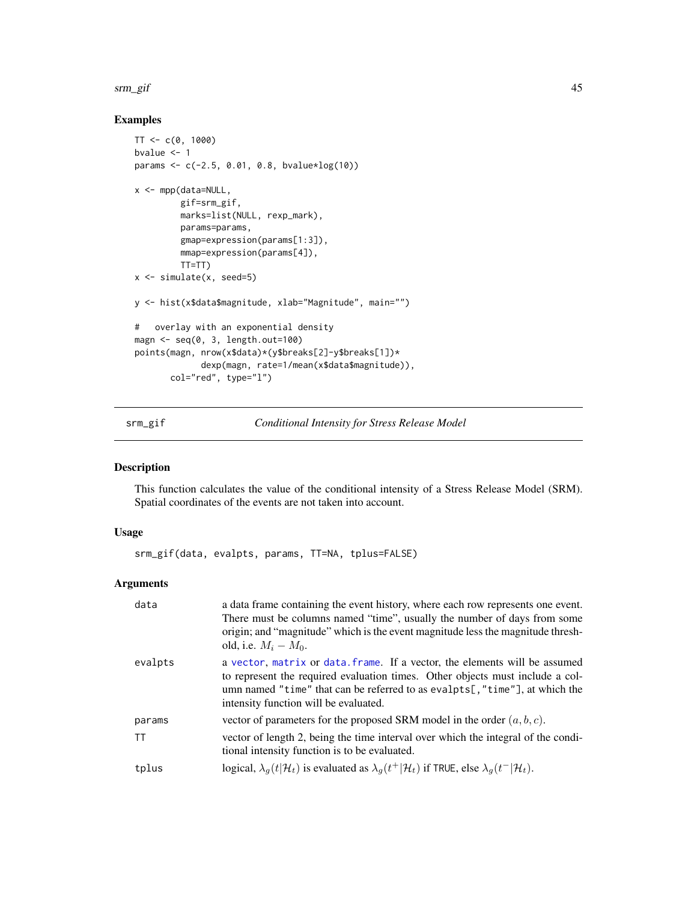#### <span id="page-44-0"></span>srm\_gif 45

# Examples

```
TT <- c(0, 1000)
bvalue <-1params <- c(-2.5, 0.01, 0.8, bvalue*log(10))
x <- mpp(data=NULL,
        gif=srm_gif,
        marks=list(NULL, rexp_mark),
        params=params,
         gmap=expression(params[1:3]),
        mmap=expression(params[4]),
        TT=TT)
x <- simulate(x, seed=5)
y <- hist(x$data$magnitude, xlab="Magnitude", main="")
# overlay with an exponential density
magn \leq seq(0, 3, length.out=100)
points(magn, nrow(x$data)*(y$breaks[2]-y$breaks[1])*
             dexp(magn, rate=1/mean(x$data$magnitude)),
       col="red", type="l")
```
<span id="page-44-1"></span>srm\_gif *Conditional Intensity for Stress Release Model*

# Description

This function calculates the value of the conditional intensity of a Stress Release Model (SRM). Spatial coordinates of the events are not taken into account.

# Usage

srm\_gif(data, evalpts, params, TT=NA, tplus=FALSE)

# Arguments

| data      | a data frame containing the event history, where each row represents one event.<br>There must be columns named "time", usually the number of days from some<br>origin; and "magnitude" which is the event magnitude less the magnitude thresh-<br>old, i.e. $M_i - M_0$ .           |
|-----------|-------------------------------------------------------------------------------------------------------------------------------------------------------------------------------------------------------------------------------------------------------------------------------------|
| evalpts   | a vector, matrix or data. frame. If a vector, the elements will be assumed<br>to represent the required evaluation times. Other objects must include a col-<br>umn named "time" that can be referred to as evalpts[, "time"], at which the<br>intensity function will be evaluated. |
| params    | vector of parameters for the proposed SRM model in the order $(a, b, c)$ .                                                                                                                                                                                                          |
| <b>TT</b> | vector of length 2, being the time interval over which the integral of the condi-<br>tional intensity function is to be evaluated.                                                                                                                                                  |
| tplus     | logical, $\lambda_g(t \mathcal{H}_t)$ is evaluated as $\lambda_g(t^+ \mathcal{H}_t)$ if TRUE, else $\lambda_g(t^- \mathcal{H}_t)$ .                                                                                                                                                 |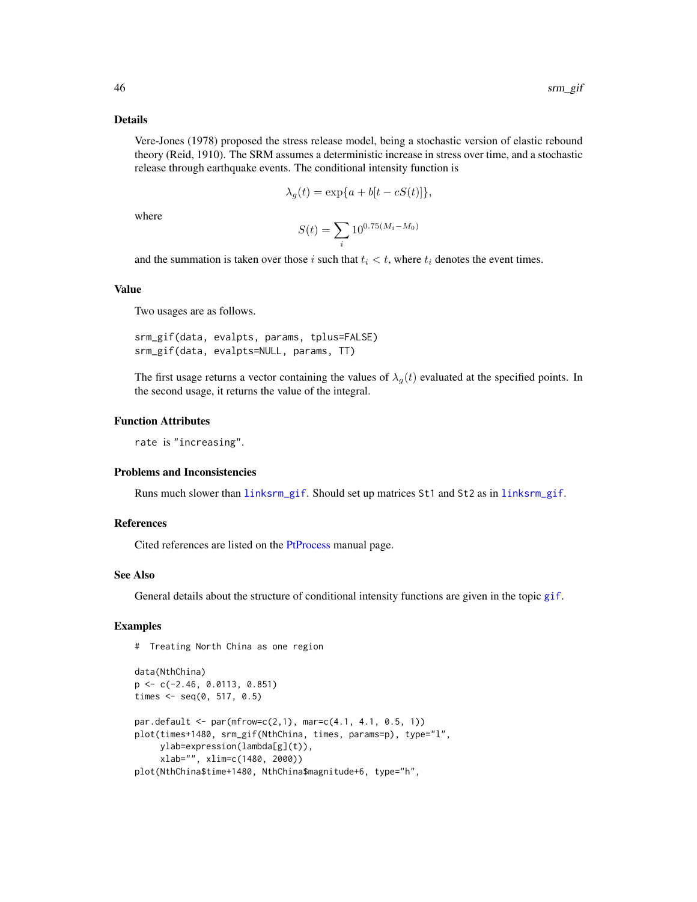#### <span id="page-45-0"></span>Details

Vere-Jones (1978) proposed the stress release model, being a stochastic version of elastic rebound theory (Reid, 1910). The SRM assumes a deterministic increase in stress over time, and a stochastic release through earthquake events. The conditional intensity function is

$$
\lambda_g(t) = \exp\{a + b[t - cS(t)]\},\,
$$

where

$$
S(t) = \sum_{i} 10^{0.75(M_i - M_0)}
$$

and the summation is taken over those i such that  $t_i < t$ , where  $t_i$  denotes the event times.

# Value

Two usages are as follows.

srm\_gif(data, evalpts, params, tplus=FALSE) srm\_gif(data, evalpts=NULL, params, TT)

The first usage returns a vector containing the values of  $\lambda_q(t)$  evaluated at the specified points. In the second usage, it returns the value of the integral.

#### Function Attributes

rate is "increasing".

#### Problems and Inconsistencies

Runs much slower than [linksrm\\_gif](#page-24-1). Should set up matrices St1 and St2 as in [linksrm\\_gif](#page-24-1).

# References

Cited references are listed on the [PtProcess](#page-1-1) manual page.

#### See Also

General details about the structure of conditional intensity functions are given in the topic [gif](#page-18-1).

#### Examples

# Treating North China as one region

```
data(NthChina)
p <- c(-2.46, 0.0113, 0.851)
times \leq seq(0, 517, 0.5)
par.default <- par(mfrow=c(2,1), mar=c(4.1, 4.1, 0.5, 1))
plot(times+1480, srm_gif(NthChina, times, params=p), type="l",
     ylab=expression(lambda[g](t)),
     xlab="", xlim=c(1480, 2000))
plot(NthChina$time+1480, NthChina$magnitude+6, type="h",
```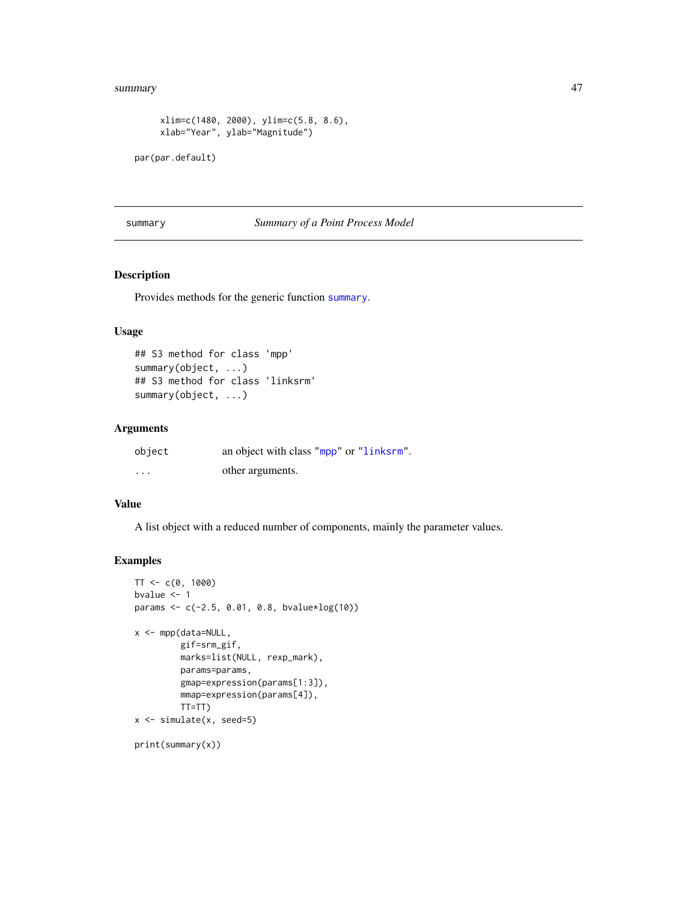#### <span id="page-46-0"></span>summary and the state of the state of the state of the state of the state of the state of the state of the state of the state of the state of the state of the state of the state of the state of the state of the state of th

```
xlim=c(1480, 2000), ylim=c(5.8, 8.6),
     xlab="Year", ylab="Magnitude")
par(par.default)
```
### <span id="page-46-1"></span>summary *Summary of a Point Process Model*

# <span id="page-46-2"></span>**Description**

Provides methods for the generic function [summary](#page-46-1).

# Usage

```
## S3 method for class 'mpp'
summary(object, ...)
## S3 method for class 'linksrm'
summary(object, ...)
```
# Arguments

| object   | an object with class "mpp" or "linksrm". |
|----------|------------------------------------------|
| $\cdots$ | other arguments.                         |

#### Value

A list object with a reduced number of components, mainly the parameter values.

# Examples

```
TT < -c(0, 1000)bvalue <- 1
params <- c(-2.5, 0.01, 0.8, bvalue*log(10))
x <- mpp(data=NULL,
         gif=srm_gif,
         marks=list(NULL, rexp_mark),
         params=params,
         gmap=expression(params[1:3]),
         mmap=expression(params[4]),
         TT=TT)
x <- simulate(x, seed=5)
print(summary(x))
```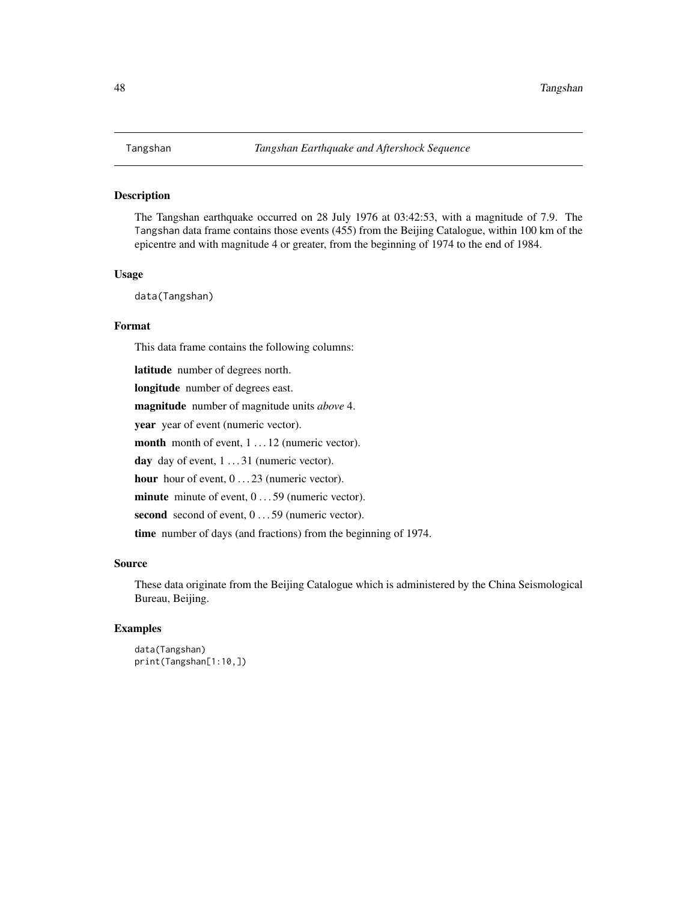<span id="page-47-0"></span>

#### Description

The Tangshan earthquake occurred on 28 July 1976 at 03:42:53, with a magnitude of 7.9. The Tangshan data frame contains those events (455) from the Beijing Catalogue, within 100 km of the epicentre and with magnitude 4 or greater, from the beginning of 1974 to the end of 1984.

# Usage

data(Tangshan)

# Format

This data frame contains the following columns:

latitude number of degrees north. longitude number of degrees east. magnitude number of magnitude units *above* 4. year year of event (numeric vector). month month of event, 1 . . . 12 (numeric vector). day day of event, 1 . . . 31 (numeric vector). hour hour of event,  $0 \ldots 23$  (numeric vector). minute minute of event,  $0 \dots 59$  (numeric vector). second second of event,  $0 \dots 59$  (numeric vector). time number of days (and fractions) from the beginning of 1974.

# Source

These data originate from the Beijing Catalogue which is administered by the China Seismological Bureau, Beijing.

# Examples

data(Tangshan) print(Tangshan[1:10,])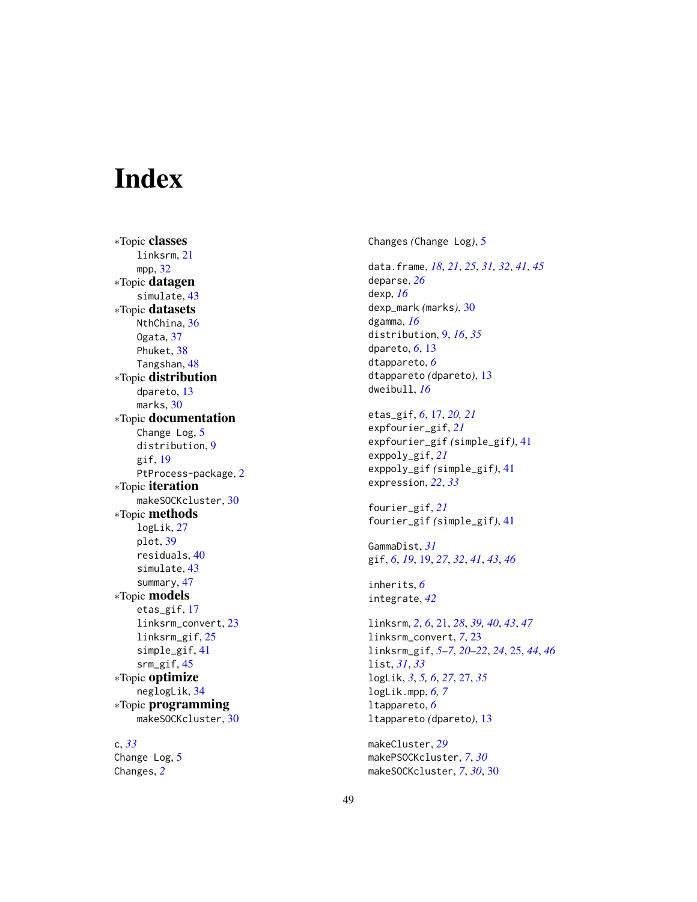# <span id="page-48-0"></span>**Index**

∗Topic classes linksrm , [21](#page-20-0) mpp , [32](#page-31-0) ∗Topic datagen simulate , [43](#page-42-0) ∗Topic datasets NthChina, [36](#page-35-0) 0gata, [37](#page-36-0) Phuket, [38](#page-37-0) Tangshan , [48](#page-47-0) ∗Topic distribution dpareto , [13](#page-12-0) marks , [30](#page-29-0) ∗Topic documentation Change Log, [5](#page-4-0) distribution , [9](#page-8-0) gif , [19](#page-18-0) PtProcess-package, [2](#page-1-0) ∗Topic iteration makeSOCKcluster, [30](#page-29-0) ∗Topic methods logLik , [27](#page-26-0) plot , [39](#page-38-0) residuals , [40](#page-39-0) simulate , [43](#page-42-0) summary , [47](#page-46-0) ∗Topic models etas\_gif , [17](#page-16-0) linksrm\_convert , [23](#page-22-0) linksrm\_gif , [25](#page-24-0) simple\_gif , [41](#page-40-0) srm\_gif , [45](#page-44-0) ∗Topic optimize neglogLik , [34](#page-33-0) ∗Topic programming makeSOCKcluster , [30](#page-29-0)

c , *[33](#page-32-0)*

Change Log, [5](#page-4-0) Changes , *[2](#page-1-0)*

Changes *(*Change Log *)* , [5](#page-4-0) data.frame , *[18](#page-17-0)* , *[21](#page-20-0)* , *[25](#page-24-0)* , *[31](#page-30-0) , [32](#page-31-0)* , *[41](#page-40-0)* , *[45](#page-44-0)* deparse , *[26](#page-25-0)* dexp , *[16](#page-15-0)* dexp\_mark *(*marks *)* , [30](#page-29-0) dgamma , *[16](#page-15-0)* distribution , [9](#page-8-0) , *[16](#page-15-0)* , *[35](#page-34-0)* dpareto, *[6](#page-5-0)*, [13](#page-12-0) dtappareto , *[6](#page-5-0)* dtappareto *(*dpareto *)* , [13](#page-12-0) dweibull , *[16](#page-15-0)* etas\_gif, [6](#page-5-0), [17](#page-16-0), [20](#page-19-0), [21](#page-20-0) expfourier\_gif , *[21](#page-20-0)* expfourier\_gif *(*simple\_gif *)* , [41](#page-40-0)

exppoly\_gif , *[21](#page-20-0)* exppoly\_gif *(*simple\_gif *)* , [41](#page-40-0) expression , *[22](#page-21-0)* , *[33](#page-32-0)*

fourier\_gif , *[21](#page-20-0)* fourier\_gif *(*simple\_gif *)* , [41](#page-40-0)

GammaDist , *[31](#page-30-0)* gif , *[6](#page-5-0)* , *[19](#page-18-0)* , [19](#page-18-0) , *[27](#page-26-0)* , *[32](#page-31-0)* , *[41](#page-40-0)* , *[43](#page-42-0)* , *[46](#page-45-0)*

inherits , *[6](#page-5-0)* integrate , *[42](#page-41-0)*

linksrm , *[2](#page-1-0)* , *[6](#page-5-0)* , [21](#page-20-0) , *[28](#page-27-0)* , *[39](#page-38-0) , [40](#page-39-0)* , *[43](#page-42-0)* , *[47](#page-46-0)* linksrm\_convert , *[7](#page-6-0)* , [23](#page-22-0) linksrm\_gif , *[5](#page-4-0) – [7](#page-6-0)* , *[20](#page-19-0)[–22](#page-21-0)* , *[24](#page-23-0)* , [25](#page-24-0) , *[44](#page-43-0)* , *[46](#page-45-0)* list , *[31](#page-30-0)* , *[33](#page-32-0)* logLik , *[3](#page-2-0)* , *[5](#page-4-0) , [6](#page-5-0)* , *[27](#page-26-0)* , [27](#page-26-0) , *[35](#page-34-0)* logLik.mpp , *[6,](#page-5-0) [7](#page-6-0)* ltappareto , *[6](#page-5-0)* ltappareto *(*dpareto *)* , [13](#page-12-0)

makeCluster , *[29](#page-28-0)* makePSOCKcluster , *[7](#page-6-0)* , *[30](#page-29-0)* makeSOCKcluster , *[7](#page-6-0)* , *[30](#page-29-0)* , [30](#page-29-0)